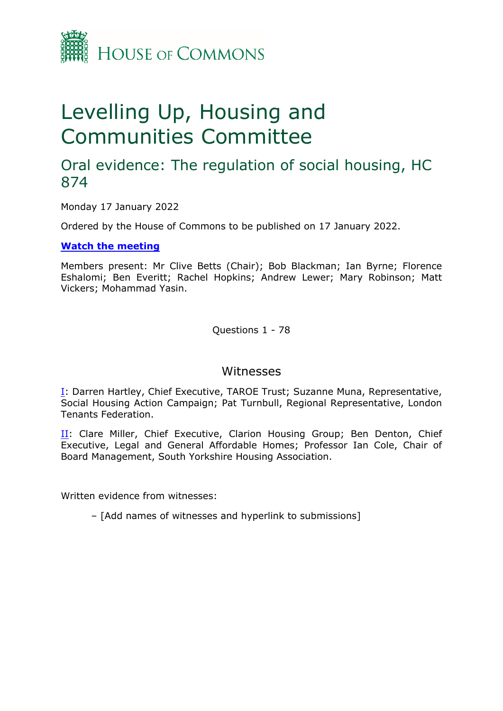

# Levelling Up, Housing and Communities Committee

## Oral evidence: The regulation of social housing, HC 874

Monday 17 January 2022

Ordered by the House of Commons to be published on 17 January 2022.

## **[Watch](https://parliamentlive.tv/Event/Index/e8e9d8d7-f13b-4598-88fd-b2cc43d9945d) [the](https://parliamentlive.tv/Event/Index/e8e9d8d7-f13b-4598-88fd-b2cc43d9945d) [meeting](https://parliamentlive.tv/Event/Index/e8e9d8d7-f13b-4598-88fd-b2cc43d9945d)**

Members present: Mr Clive Betts (Chair); Bob Blackman; Ian Byrne; Florence Eshalomi; Ben Everitt; Rachel Hopkins; Andrew Lewer; Mary Robinson; Matt Vickers; Mohammad Yasin.

Questions 1 - 78

## Witnesses

[I:](#page-1-0) Darren Hartley, Chief Executive, TAROE Trust; Suzanne Muna, Representative, Social Housing Action Campaign; Pat Turnbull, Regional Representative, London Tenants Federation.

[II](#page-21-0): Clare Miller, Chief Executive, Clarion Housing Group; Ben Denton, Chief Executive, Legal and General Affordable Homes; Professor Ian Cole, Chair of Board Management, South Yorkshire Housing Association.

Written evidence from witnesses:

– [Add names of witnesses and hyperlink to submissions]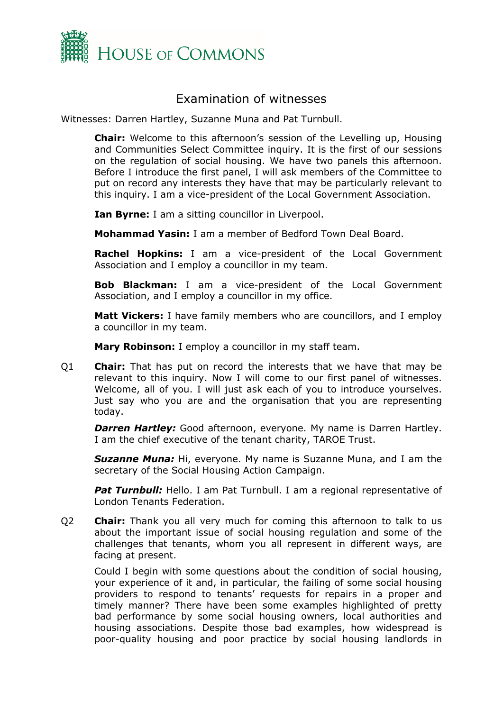

## Examination of witnesses

Witnesses: Darren Hartley, Suzanne Muna and Pat Turnbull.

<span id="page-1-0"></span>**Chair:** Welcome to this afternoon's session of the Levelling up, Housing and Communities Select Committee inquiry. It is the first of our sessions on the regulation of social housing. We have two panels this afternoon. Before I introduce the first panel, I will ask members of the Committee to put on record any interests they have that may be particularly relevant to this inquiry. I am a vice-president of the Local Government Association.

**Ian Byrne:** I am a sitting councillor in Liverpool.

**Mohammad Yasin:** I am a member of Bedford Town Deal Board.

**Rachel Hopkins:** I am a vice-president of the Local Government Association and I employ a councillor in my team.

**Bob Blackman:** I am a vice-president of the Local Government Association, and I employ a councillor in my office.

**Matt Vickers:** I have family members who are councillors, and I employ a councillor in my team.

**Mary Robinson:** I employ a councillor in my staff team.

Q1 **Chair:** That has put on record the interests that we have that may be relevant to this inquiry. Now I will come to our first panel of witnesses. Welcome, all of you. I will just ask each of you to introduce yourselves. Just say who you are and the organisation that you are representing today.

*Darren Hartley:* Good afternoon, everyone. My name is Darren Hartley. I am the chief executive of the tenant charity, TAROE Trust.

*Suzanne Muna:* Hi, everyone. My name is Suzanne Muna, and I am the secretary of the Social Housing Action Campaign.

**Pat Turnbull:** Hello. I am Pat Turnbull. I am a regional representative of London Tenants Federation.

Q2 **Chair:** Thank you all very much for coming this afternoon to talk to us about the important issue of social housing regulation and some of the challenges that tenants, whom you all represent in different ways, are facing at present.

Could I begin with some questions about the condition of social housing, your experience of it and, in particular, the failing of some social housing providers to respond to tenants' requests for repairs in a proper and timely manner? There have been some examples highlighted of pretty bad performance by some social housing owners, local authorities and housing associations. Despite those bad examples, how widespread is poor-quality housing and poor practice by social housing landlords in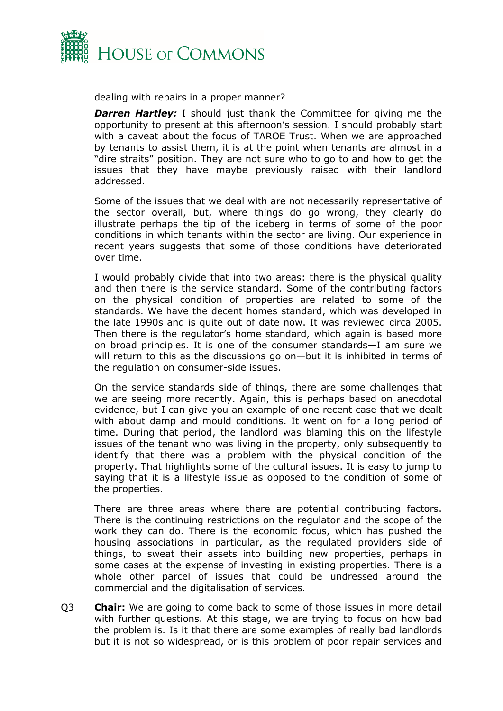

dealing with repairs in a proper manner?

*Darren Hartley:* I should just thank the Committee for giving me the opportunity to present at this afternoon's session. I should probably start with a caveat about the focus of TAROE Trust. When we are approached by tenants to assist them, it is at the point when tenants are almost in a "dire straits" position. They are not sure who to go to and how to get the issues that they have maybe previously raised with their landlord addressed.

Some of the issues that we deal with are not necessarily representative of the sector overall, but, where things do go wrong, they clearly do illustrate perhaps the tip of the iceberg in terms of some of the poor conditions in which tenants within the sector are living. Our experience in recent years suggests that some of those conditions have deteriorated over time.

I would probably divide that into two areas: there is the physical quality and then there is the service standard. Some of the contributing factors on the physical condition of properties are related to some of the standards. We have the decent homes standard, which was developed in the late 1990s and is quite out of date now. It was reviewed circa 2005. Then there is the regulator's home standard, which again is based more on broad principles. It is one of the consumer standards—I am sure we will return to this as the discussions go on—but it is inhibited in terms of the regulation on consumer-side issues.

On the service standards side of things, there are some challenges that we are seeing more recently. Again, this is perhaps based on anecdotal evidence, but I can give you an example of one recent case that we dealt with about damp and mould conditions. It went on for a long period of time. During that period, the landlord was blaming this on the lifestyle issues of the tenant who was living in the property, only subsequently to identify that there was a problem with the physical condition of the property. That highlights some of the cultural issues. It is easy to jump to saying that it is a lifestyle issue as opposed to the condition of some of the properties.

There are three areas where there are potential contributing factors. There is the continuing restrictions on the regulator and the scope of the work they can do. There is the economic focus, which has pushed the housing associations in particular, as the regulated providers side of things, to sweat their assets into building new properties, perhaps in some cases at the expense of investing in existing properties. There is a whole other parcel of issues that could be undressed around the commercial and the digitalisation of services.

Q3 **Chair:** We are going to come back to some of those issues in more detail with further questions. At this stage, we are trying to focus on how bad the problem is. Is it that there are some examples of really bad landlords but it is not so widespread, or is this problem of poor repair services and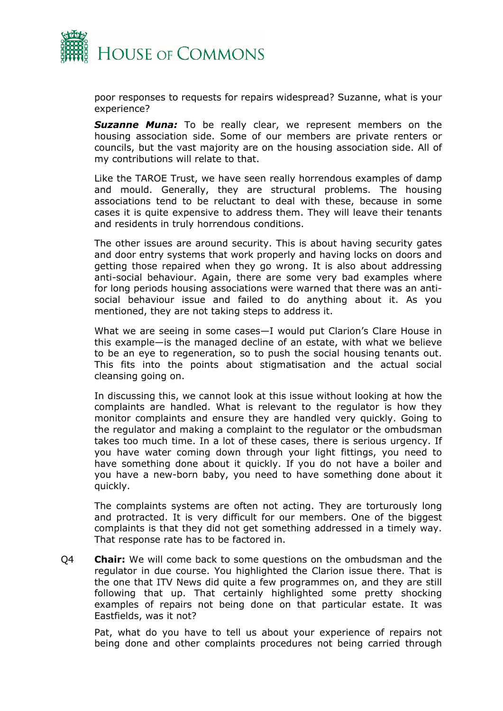

poor responses to requests for repairs widespread? Suzanne, what is your experience?

*Suzanne Muna:* To be really clear, we represent members on the housing association side. Some of our members are private renters or councils, but the vast majority are on the housing association side. All of my contributions will relate to that.

Like the TAROE Trust, we have seen really horrendous examples of damp and mould. Generally, they are structural problems. The housing associations tend to be reluctant to deal with these, because in some cases it is quite expensive to address them. They will leave their tenants and residents in truly horrendous conditions.

The other issues are around security. This is about having security gates and door entry systems that work properly and having locks on doors and getting those repaired when they go wrong. It is also about addressing anti-social behaviour. Again, there are some very bad examples where for long periods housing associations were warned that there was an antisocial behaviour issue and failed to do anything about it. As you mentioned, they are not taking steps to address it.

What we are seeing in some cases—I would put Clarion's Clare House in this example—is the managed decline of an estate, with what we believe to be an eye to regeneration, so to push the social housing tenants out. This fits into the points about stigmatisation and the actual social cleansing going on.

In discussing this, we cannot look at this issue without looking at how the complaints are handled. What is relevant to the regulator is how they monitor complaints and ensure they are handled very quickly. Going to the regulator and making a complaint to the regulator or the ombudsman takes too much time. In a lot of these cases, there is serious urgency. If you have water coming down through your light fittings, you need to have something done about it quickly. If you do not have a boiler and you have a new-born baby, you need to have something done about it quickly.

The complaints systems are often not acting. They are torturously long and protracted. It is very difficult for our members. One of the biggest complaints is that they did not get something addressed in a timely way. That response rate has to be factored in.

Q4 **Chair:** We will come back to some questions on the ombudsman and the regulator in due course. You highlighted the Clarion issue there. That is the one that ITV News did quite a few programmes on, and they are still following that up. That certainly highlighted some pretty shocking examples of repairs not being done on that particular estate. It was Eastfields, was it not?

Pat, what do you have to tell us about your experience of repairs not being done and other complaints procedures not being carried through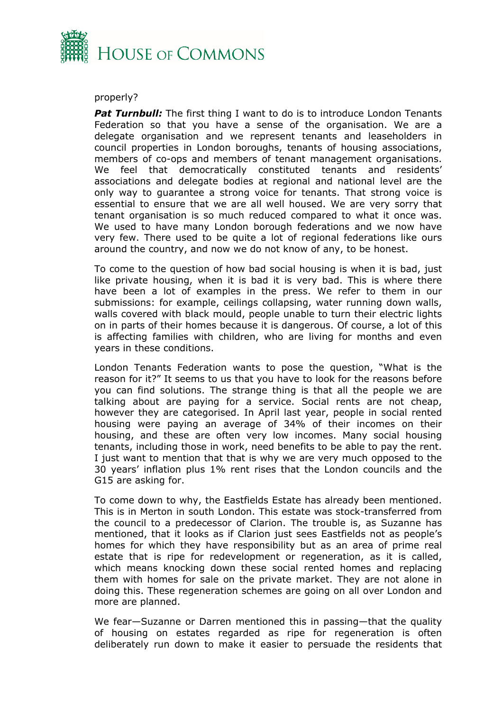

#### properly?

*Pat Turnbull:* The first thing I want to do is to introduce London Tenants Federation so that you have a sense of the organisation. We are a delegate organisation and we represent tenants and leaseholders in council properties in London boroughs, tenants of housing associations, members of co-ops and members of tenant management organisations. We feel that democratically constituted tenants and residents' associations and delegate bodies at regional and national level are the only way to guarantee a strong voice for tenants. That strong voice is essential to ensure that we are all well housed. We are very sorry that tenant organisation is so much reduced compared to what it once was. We used to have many London borough federations and we now have very few. There used to be quite a lot of regional federations like ours around the country, and now we do not know of any, to be honest.

To come to the question of how bad social housing is when it is bad, just like private housing, when it is bad it is very bad. This is where there have been a lot of examples in the press. We refer to them in our submissions: for example, ceilings collapsing, water running down walls, walls covered with black mould, people unable to turn their electric lights on in parts of their homes because it is dangerous. Of course, a lot of this is affecting families with children, who are living for months and even years in these conditions.

London Tenants Federation wants to pose the question, "What is the reason for it?" It seems to us that you have to look for the reasons before you can find solutions. The strange thing is that all the people we are talking about are paying for a service. Social rents are not cheap, however they are categorised. In April last year, people in social rented housing were paying an average of 34% of their incomes on their housing, and these are often very low incomes. Many social housing tenants, including those in work, need benefits to be able to pay the rent. I just want to mention that that is why we are very much opposed to the 30 years' inflation plus 1% rent rises that the London councils and the G15 are asking for.

To come down to why, the Eastfields Estate has already been mentioned. This is in Merton in south London. This estate was stock-transferred from the council to a predecessor of Clarion. The trouble is, as Suzanne has mentioned, that it looks as if Clarion just sees Eastfields not as people's homes for which they have responsibility but as an area of prime real estate that is ripe for redevelopment or regeneration, as it is called, which means knocking down these social rented homes and replacing them with homes for sale on the private market. They are not alone in doing this. These regeneration schemes are going on all over London and more are planned.

We fear—Suzanne or Darren mentioned this in passing—that the quality of housing on estates regarded as ripe for regeneration is often deliberately run down to make it easier to persuade the residents that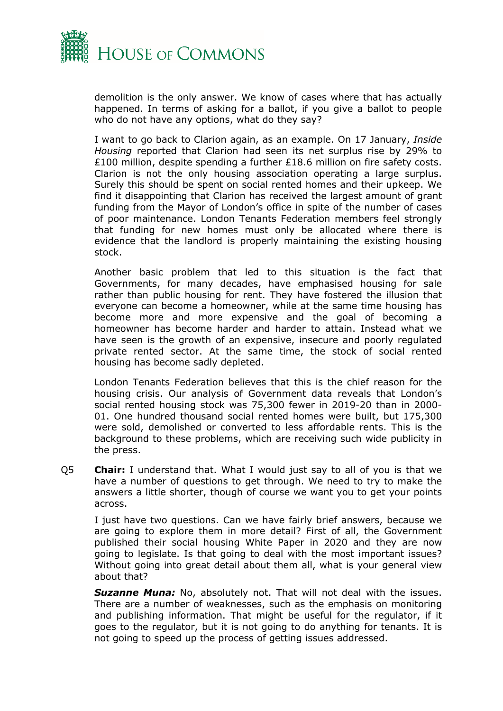

demolition is the only answer. We know of cases where that has actually happened. In terms of asking for a ballot, if you give a ballot to people who do not have any options, what do they say?

I want to go back to Clarion again, as an example. On 17 January, *Inside Housing* reported that Clarion had seen its net surplus rise by 29% to £100 million, despite spending a further £18.6 million on fire safety costs. Clarion is not the only housing association operating a large surplus. Surely this should be spent on social rented homes and their upkeep. We find it disappointing that Clarion has received the largest amount of grant funding from the Mayor of London's office in spite of the number of cases of poor maintenance. London Tenants Federation members feel strongly that funding for new homes must only be allocated where there is evidence that the landlord is properly maintaining the existing housing stock.

Another basic problem that led to this situation is the fact that Governments, for many decades, have emphasised housing for sale rather than public housing for rent. They have fostered the illusion that everyone can become a homeowner, while at the same time housing has become more and more expensive and the goal of becoming a homeowner has become harder and harder to attain. Instead what we have seen is the growth of an expensive, insecure and poorly regulated private rented sector. At the same time, the stock of social rented housing has become sadly depleted.

London Tenants Federation believes that this is the chief reason for the housing crisis. Our analysis of Government data reveals that London's social rented housing stock was 75,300 fewer in 2019-20 than in 2000- 01. One hundred thousand social rented homes were built, but 175,300 were sold, demolished or converted to less affordable rents. This is the background to these problems, which are receiving such wide publicity in the press.

Q5 **Chair:** I understand that. What I would just say to all of you is that we have a number of questions to get through. We need to try to make the answers a little shorter, though of course we want you to get your points across.

I just have two questions. Can we have fairly brief answers, because we are going to explore them in more detail? First of all, the Government published their social housing White Paper in 2020 and they are now going to legislate. Is that going to deal with the most important issues? Without going into great detail about them all, what is your general view about that?

*Suzanne Muna:* No, absolutely not. That will not deal with the issues. There are a number of weaknesses, such as the emphasis on monitoring and publishing information. That might be useful for the regulator, if it goes to the regulator, but it is not going to do anything for tenants. It is not going to speed up the process of getting issues addressed.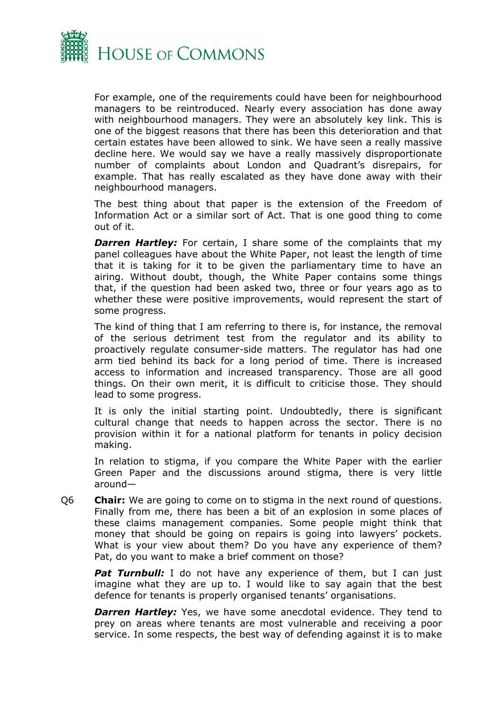

For example, one of the requirements could have been for neighbourhood managers to be reintroduced. Nearly every association has done away with neighbourhood managers. They were an absolutely key link. This is one of the biggest reasons that there has been this deterioration and that certain estates have been allowed to sink. We have seen a really massive decline here. We would say we have a really massively disproportionate number of complaints about London and Quadrant's disrepairs, for example. That has really escalated as they have done away with their neighbourhood managers.

The best thing about that paper is the extension of the Freedom of Information Act or a similar sort of Act. That is one good thing to come out of it.

**Darren Hartley:** For certain, I share some of the complaints that my panel colleagues have about the White Paper, not least the length of time that it is taking for it to be given the parliamentary time to have an airing. Without doubt, though, the White Paper contains some things that, if the question had been asked two, three or four years ago as to whether these were positive improvements, would represent the start of some progress.

The kind of thing that I am referring to there is, for instance, the removal of the serious detriment test from the regulator and its ability to proactively regulate consumer-side matters. The regulator has had one arm tied behind its back for a long period of time. There is increased access to information and increased transparency. Those are all good things. On their own merit, it is difficult to criticise those. They should lead to some progress.

It is only the initial starting point. Undoubtedly, there is significant cultural change that needs to happen across the sector. There is no provision within it for a national platform for tenants in policy decision making.

In relation to stigma, if you compare the White Paper with the earlier Green Paper and the discussions around stigma, there is very little around—

Q6 **Chair:** We are going to come on to stigma in the next round of questions. Finally from me, there has been a bit of an explosion in some places of these claims management companies. Some people might think that money that should be going on repairs is going into lawyers' pockets. What is your view about them? Do you have any experience of them? Pat, do you want to make a brief comment on those?

**Pat Turnbull:** I do not have any experience of them, but I can just imagine what they are up to. I would like to say again that the best defence for tenants is properly organised tenants' organisations.

**Darren Hartley:** Yes, we have some anecdotal evidence. They tend to prey on areas where tenants are most vulnerable and receiving a poor service. In some respects, the best way of defending against it is to make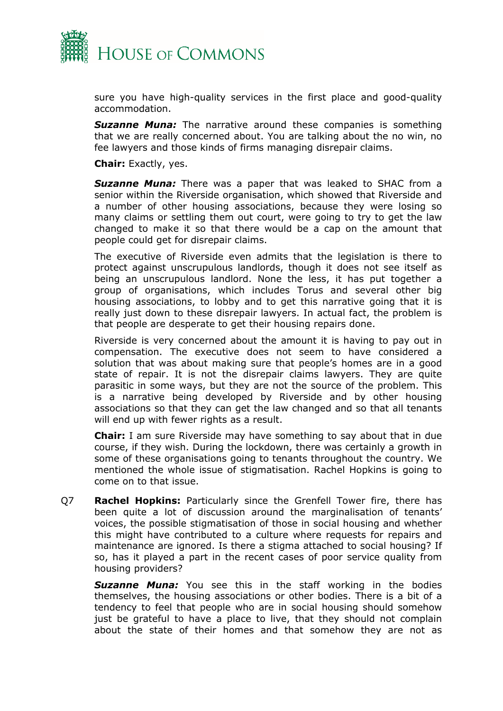

sure you have high-quality services in the first place and good-quality accommodation.

**Suzanne Muna:** The narrative around these companies is something that we are really concerned about. You are talking about the no win, no fee lawyers and those kinds of firms managing disrepair claims.

**Chair:** Exactly, yes.

*Suzanne Muna:* There was a paper that was leaked to SHAC from a senior within the Riverside organisation, which showed that Riverside and a number of other housing associations, because they were losing so many claims or settling them out court, were going to try to get the law changed to make it so that there would be a cap on the amount that people could get for disrepair claims.

The executive of Riverside even admits that the legislation is there to protect against unscrupulous landlords, though it does not see itself as being an unscrupulous landlord. None the less, it has put together a group of organisations, which includes Torus and several other big housing associations, to lobby and to get this narrative going that it is really just down to these disrepair lawyers. In actual fact, the problem is that people are desperate to get their housing repairs done.

Riverside is very concerned about the amount it is having to pay out in compensation. The executive does not seem to have considered a solution that was about making sure that people's homes are in a good state of repair. It is not the disrepair claims lawyers. They are quite parasitic in some ways, but they are not the source of the problem. This is a narrative being developed by Riverside and by other housing associations so that they can get the law changed and so that all tenants will end up with fewer rights as a result.

**Chair:** I am sure Riverside may have something to say about that in due course, if they wish. During the lockdown, there was certainly a growth in some of these organisations going to tenants throughout the country. We mentioned the whole issue of stigmatisation. Rachel Hopkins is going to come on to that issue.

Q7 **Rachel Hopkins:** Particularly since the Grenfell Tower fire, there has been quite a lot of discussion around the marginalisation of tenants' voices, the possible stigmatisation of those in social housing and whether this might have contributed to a culture where requests for repairs and maintenance are ignored. Is there a stigma attached to social housing? If so, has it played a part in the recent cases of poor service quality from housing providers?

*Suzanne Muna:* You see this in the staff working in the bodies themselves, the housing associations or other bodies. There is a bit of a tendency to feel that people who are in social housing should somehow just be grateful to have a place to live, that they should not complain about the state of their homes and that somehow they are not as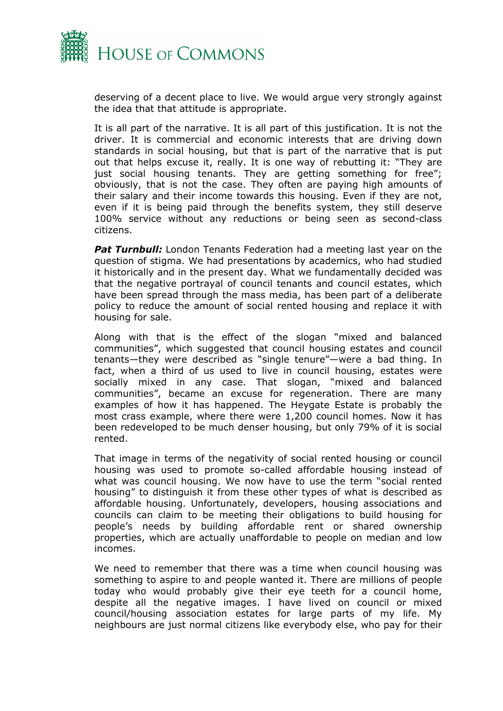

deserving of a decent place to live. We would argue very strongly against the idea that that attitude is appropriate.

It is all part of the narrative. It is all part of this justification. It is not the driver. It is commercial and economic interests that are driving down standards in social housing, but that is part of the narrative that is put out that helps excuse it, really. It is one way of rebutting it: "They are just social housing tenants. They are getting something for free"; obviously, that is not the case. They often are paying high amounts of their salary and their income towards this housing. Even if they are not, even if it is being paid through the benefits system, they still deserve 100% service without any reductions or being seen as second-class citizens.

**Pat Turnbull:** London Tenants Federation had a meeting last year on the question of stigma. We had presentations by academics, who had studied it historically and in the present day. What we fundamentally decided was that the negative portrayal of council tenants and council estates, which have been spread through the mass media, has been part of a deliberate policy to reduce the amount of social rented housing and replace it with housing for sale.

Along with that is the effect of the slogan "mixed and balanced communities", which suggested that council housing estates and council tenants—they were described as "single tenure"—were a bad thing. In fact, when a third of us used to live in council housing, estates were socially mixed in any case. That slogan, "mixed and balanced communities", became an excuse for regeneration. There are many examples of how it has happened. The Heygate Estate is probably the most crass example, where there were 1,200 council homes. Now it has been redeveloped to be much denser housing, but only 79% of it is social rented.

That image in terms of the negativity of social rented housing or council housing was used to promote so-called affordable housing instead of what was council housing. We now have to use the term "social rented housing" to distinguish it from these other types of what is described as affordable housing. Unfortunately, developers, housing associations and councils can claim to be meeting their obligations to build housing for people's needs by building affordable rent or shared ownership properties, which are actually unaffordable to people on median and low incomes.

We need to remember that there was a time when council housing was something to aspire to and people wanted it. There are millions of people today who would probably give their eye teeth for a council home, despite all the negative images. I have lived on council or mixed council/housing association estates for large parts of my life. My neighbours are just normal citizens like everybody else, who pay for their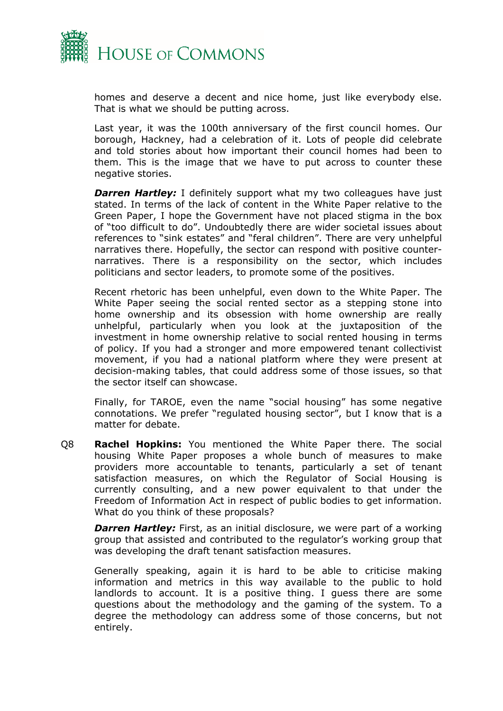

homes and deserve a decent and nice home, just like everybody else. That is what we should be putting across.

Last year, it was the 100th anniversary of the first council homes. Our borough, Hackney, had a celebration of it. Lots of people did celebrate and told stories about how important their council homes had been to them. This is the image that we have to put across to counter these negative stories.

**Darren Hartley:** I definitely support what my two colleagues have just stated. In terms of the lack of content in the White Paper relative to the Green Paper, I hope the Government have not placed stigma in the box of "too difficult to do". Undoubtedly there are wider societal issues about references to "sink estates" and "feral children". There are very unhelpful narratives there. Hopefully, the sector can respond with positive counternarratives. There is a responsibility on the sector, which includes politicians and sector leaders, to promote some of the positives.

Recent rhetoric has been unhelpful, even down to the White Paper. The White Paper seeing the social rented sector as a stepping stone into home ownership and its obsession with home ownership are really unhelpful, particularly when you look at the juxtaposition of the investment in home ownership relative to social rented housing in terms of policy. If you had a stronger and more empowered tenant collectivist movement, if you had a national platform where they were present at decision-making tables, that could address some of those issues, so that the sector itself can showcase.

Finally, for TAROE, even the name "social housing" has some negative connotations. We prefer "regulated housing sector", but I know that is a matter for debate.

Q8 **Rachel Hopkins:** You mentioned the White Paper there. The social housing White Paper proposes a whole bunch of measures to make providers more accountable to tenants, particularly a set of tenant satisfaction measures, on which the Regulator of Social Housing is currently consulting, and a new power equivalent to that under the Freedom of Information Act in respect of public bodies to get information. What do you think of these proposals?

**Darren Hartley:** First, as an initial disclosure, we were part of a working group that assisted and contributed to the regulator's working group that was developing the draft tenant satisfaction measures.

Generally speaking, again it is hard to be able to criticise making information and metrics in this way available to the public to hold landlords to account. It is a positive thing. I guess there are some questions about the methodology and the gaming of the system. To a degree the methodology can address some of those concerns, but not entirely.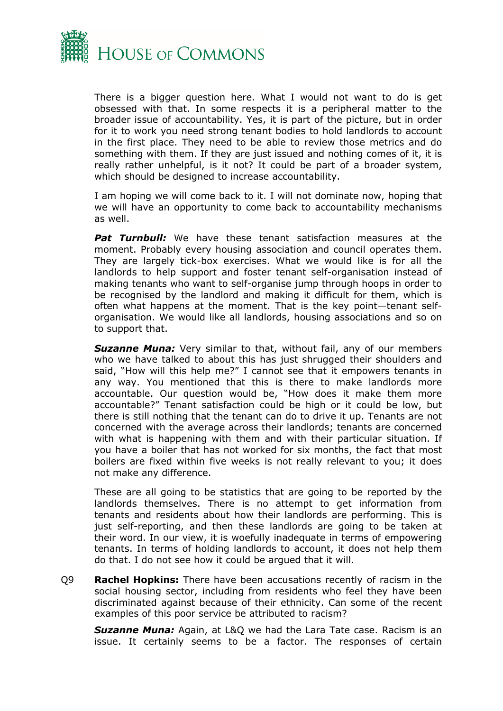

There is a bigger question here. What I would not want to do is get obsessed with that. In some respects it is a peripheral matter to the broader issue of accountability. Yes, it is part of the picture, but in order for it to work you need strong tenant bodies to hold landlords to account in the first place. They need to be able to review those metrics and do something with them. If they are just issued and nothing comes of it, it is really rather unhelpful, is it not? It could be part of a broader system, which should be designed to increase accountability.

I am hoping we will come back to it. I will not dominate now, hoping that we will have an opportunity to come back to accountability mechanisms as well.

**Pat Turnbull:** We have these tenant satisfaction measures at the moment. Probably every housing association and council operates them. They are largely tick-box exercises. What we would like is for all the landlords to help support and foster tenant self-organisation instead of making tenants who want to self-organise jump through hoops in order to be recognised by the landlord and making it difficult for them, which is often what happens at the moment. That is the key point—tenant selforganisation. We would like all landlords, housing associations and so on to support that.

*Suzanne Muna:* Very similar to that, without fail, any of our members who we have talked to about this has just shrugged their shoulders and said, "How will this help me?" I cannot see that it empowers tenants in any way. You mentioned that this is there to make landlords more accountable. Our question would be, "How does it make them more accountable?" Tenant satisfaction could be high or it could be low, but there is still nothing that the tenant can do to drive it up. Tenants are not concerned with the average across their landlords; tenants are concerned with what is happening with them and with their particular situation. If you have a boiler that has not worked for six months, the fact that most boilers are fixed within five weeks is not really relevant to you; it does not make any difference.

These are all going to be statistics that are going to be reported by the landlords themselves. There is no attempt to get information from tenants and residents about how their landlords are performing. This is just self-reporting, and then these landlords are going to be taken at their word. In our view, it is woefully inadequate in terms of empowering tenants. In terms of holding landlords to account, it does not help them do that. I do not see how it could be argued that it will.

Q9 **Rachel Hopkins:** There have been accusations recently of racism in the social housing sector, including from residents who feel they have been discriminated against because of their ethnicity. Can some of the recent examples of this poor service be attributed to racism?

*Suzanne Muna:* Again, at L&Q we had the Lara Tate case. Racism is an issue. It certainly seems to be a factor. The responses of certain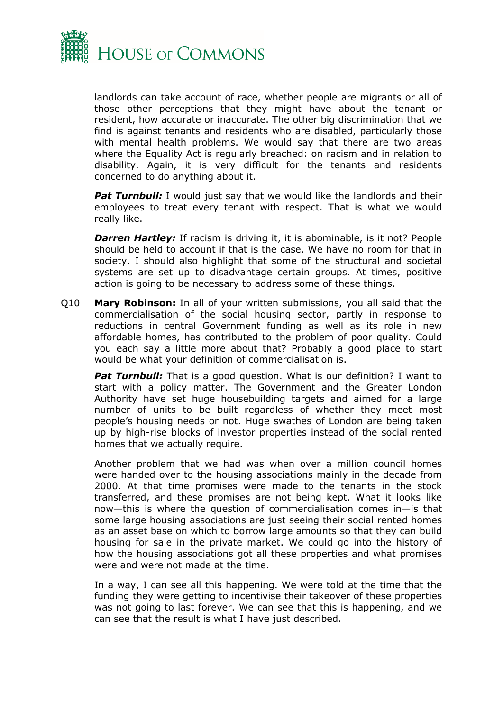

landlords can take account of race, whether people are migrants or all of those other perceptions that they might have about the tenant or resident, how accurate or inaccurate. The other big discrimination that we find is against tenants and residents who are disabled, particularly those with mental health problems. We would say that there are two areas where the Equality Act is regularly breached: on racism and in relation to disability. Again, it is very difficult for the tenants and residents concerned to do anything about it.

**Pat Turnbull:** I would just say that we would like the landlords and their employees to treat every tenant with respect. That is what we would really like.

*Darren Hartley:* If racism is driving it, it is abominable, is it not? People should be held to account if that is the case. We have no room for that in society. I should also highlight that some of the structural and societal systems are set up to disadvantage certain groups. At times, positive action is going to be necessary to address some of these things.

Q10 **Mary Robinson:** In all of your written submissions, you all said that the commercialisation of the social housing sector, partly in response to reductions in central Government funding as well as its role in new affordable homes, has contributed to the problem of poor quality. Could you each say a little more about that? Probably a good place to start would be what your definition of commercialisation is.

*Pat Turnbull:* That is a good question. What is our definition? I want to start with a policy matter. The Government and the Greater London Authority have set huge housebuilding targets and aimed for a large number of units to be built regardless of whether they meet most people's housing needs or not. Huge swathes of London are being taken up by high-rise blocks of investor properties instead of the social rented homes that we actually require.

Another problem that we had was when over a million council homes were handed over to the housing associations mainly in the decade from 2000. At that time promises were made to the tenants in the stock transferred, and these promises are not being kept. What it looks like now—this is where the question of commercialisation comes in—is that some large housing associations are just seeing their social rented homes as an asset base on which to borrow large amounts so that they can build housing for sale in the private market. We could go into the history of how the housing associations got all these properties and what promises were and were not made at the time.

In a way, I can see all this happening. We were told at the time that the funding they were getting to incentivise their takeover of these properties was not going to last forever. We can see that this is happening, and we can see that the result is what I have just described.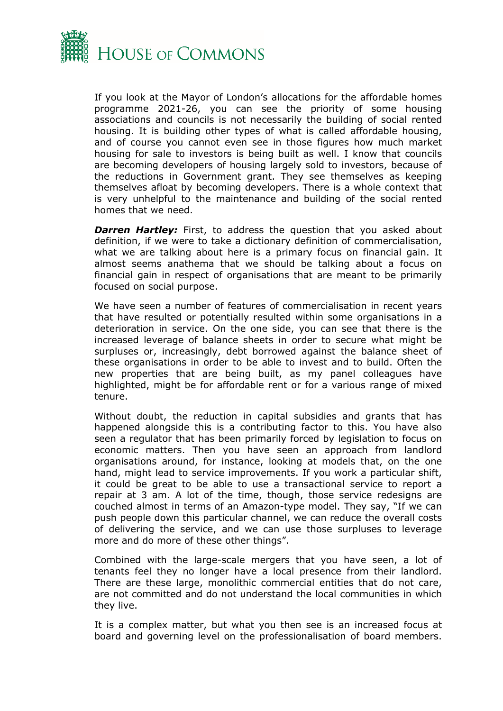

If you look at the Mayor of London's allocations for the affordable homes programme 2021-26, you can see the priority of some housing associations and councils is not necessarily the building of social rented housing. It is building other types of what is called affordable housing, and of course you cannot even see in those figures how much market housing for sale to investors is being built as well. I know that councils are becoming developers of housing largely sold to investors, because of the reductions in Government grant. They see themselves as keeping themselves afloat by becoming developers. There is a whole context that is very unhelpful to the maintenance and building of the social rented homes that we need.

**Darren Hartley:** First, to address the question that you asked about definition, if we were to take a dictionary definition of commercialisation, what we are talking about here is a primary focus on financial gain. It almost seems anathema that we should be talking about a focus on financial gain in respect of organisations that are meant to be primarily focused on social purpose.

We have seen a number of features of commercialisation in recent years that have resulted or potentially resulted within some organisations in a deterioration in service. On the one side, you can see that there is the increased leverage of balance sheets in order to secure what might be surpluses or, increasingly, debt borrowed against the balance sheet of these organisations in order to be able to invest and to build. Often the new properties that are being built, as my panel colleagues have highlighted, might be for affordable rent or for a various range of mixed tenure.

Without doubt, the reduction in capital subsidies and grants that has happened alongside this is a contributing factor to this. You have also seen a regulator that has been primarily forced by legislation to focus on economic matters. Then you have seen an approach from landlord organisations around, for instance, looking at models that, on the one hand, might lead to service improvements. If you work a particular shift, it could be great to be able to use a transactional service to report a repair at 3 am. A lot of the time, though, those service redesigns are couched almost in terms of an Amazon-type model. They say, "If we can push people down this particular channel, we can reduce the overall costs of delivering the service, and we can use those surpluses to leverage more and do more of these other things".

Combined with the large-scale mergers that you have seen, a lot of tenants feel they no longer have a local presence from their landlord. There are these large, monolithic commercial entities that do not care, are not committed and do not understand the local communities in which they live.

It is a complex matter, but what you then see is an increased focus at board and governing level on the professionalisation of board members.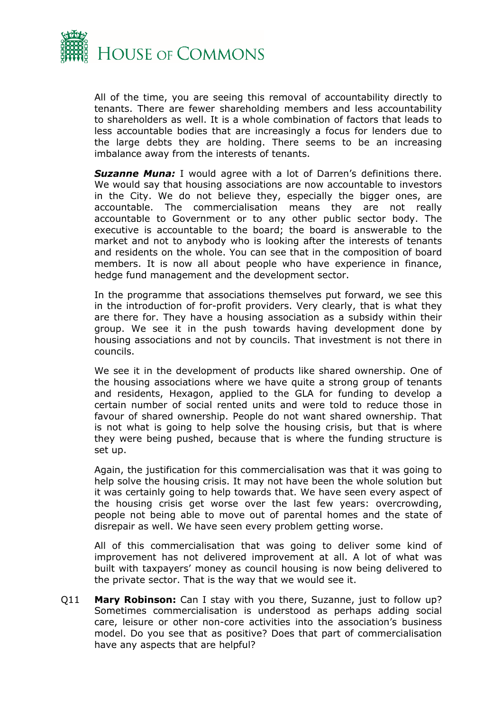

All of the time, you are seeing this removal of accountability directly to tenants. There are fewer shareholding members and less accountability to shareholders as well. It is a whole combination of factors that leads to less accountable bodies that are increasingly a focus for lenders due to the large debts they are holding. There seems to be an increasing imbalance away from the interests of tenants.

**Suzanne Muna:** I would agree with a lot of Darren's definitions there. We would say that housing associations are now accountable to investors in the City. We do not believe they, especially the bigger ones, are accountable. The commercialisation means they are not really accountable to Government or to any other public sector body. The executive is accountable to the board; the board is answerable to the market and not to anybody who is looking after the interests of tenants and residents on the whole. You can see that in the composition of board members. It is now all about people who have experience in finance, hedge fund management and the development sector.

In the programme that associations themselves put forward, we see this in the introduction of for-profit providers. Very clearly, that is what they are there for. They have a housing association as a subsidy within their group. We see it in the push towards having development done by housing associations and not by councils. That investment is not there in councils.

We see it in the development of products like shared ownership. One of the housing associations where we have quite a strong group of tenants and residents, Hexagon, applied to the GLA for funding to develop a certain number of social rented units and were told to reduce those in favour of shared ownership. People do not want shared ownership. That is not what is going to help solve the housing crisis, but that is where they were being pushed, because that is where the funding structure is set up.

Again, the justification for this commercialisation was that it was going to help solve the housing crisis. It may not have been the whole solution but it was certainly going to help towards that. We have seen every aspect of the housing crisis get worse over the last few years: overcrowding, people not being able to move out of parental homes and the state of disrepair as well. We have seen every problem getting worse.

All of this commercialisation that was going to deliver some kind of improvement has not delivered improvement at all. A lot of what was built with taxpayers' money as council housing is now being delivered to the private sector. That is the way that we would see it.

Q11 **Mary Robinson:** Can I stay with you there, Suzanne, just to follow up? Sometimes commercialisation is understood as perhaps adding social care, leisure or other non-core activities into the association's business model. Do you see that as positive? Does that part of commercialisation have any aspects that are helpful?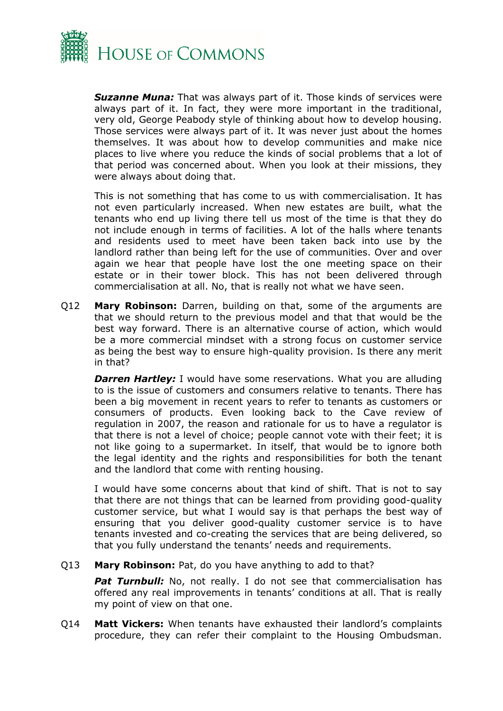

*Suzanne Muna:* That was always part of it. Those kinds of services were always part of it. In fact, they were more important in the traditional, very old, George Peabody style of thinking about how to develop housing. Those services were always part of it. It was never just about the homes themselves. It was about how to develop communities and make nice places to live where you reduce the kinds of social problems that a lot of that period was concerned about. When you look at their missions, they were always about doing that.

This is not something that has come to us with commercialisation. It has not even particularly increased. When new estates are built, what the tenants who end up living there tell us most of the time is that they do not include enough in terms of facilities. A lot of the halls where tenants and residents used to meet have been taken back into use by the landlord rather than being left for the use of communities. Over and over again we hear that people have lost the one meeting space on their estate or in their tower block. This has not been delivered through commercialisation at all. No, that is really not what we have seen.

Q12 **Mary Robinson:** Darren, building on that, some of the arguments are that we should return to the previous model and that that would be the best way forward. There is an alternative course of action, which would be a more commercial mindset with a strong focus on customer service as being the best way to ensure high-quality provision. Is there any merit in that?

**Darren Hartley:** I would have some reservations. What you are alluding to is the issue of customers and consumers relative to tenants. There has been a big movement in recent years to refer to tenants as customers or consumers of products. Even looking back to the Cave review of regulation in 2007, the reason and rationale for us to have a regulator is that there is not a level of choice; people cannot vote with their feet; it is not like going to a supermarket. In itself, that would be to ignore both the legal identity and the rights and responsibilities for both the tenant and the landlord that come with renting housing.

I would have some concerns about that kind of shift. That is not to say that there are not things that can be learned from providing good-quality customer service, but what I would say is that perhaps the best way of ensuring that you deliver good-quality customer service is to have tenants invested and co-creating the services that are being delivered, so that you fully understand the tenants' needs and requirements.

Q13 **Mary Robinson:** Pat, do you have anything to add to that?

**Pat Turnbull:** No, not really. I do not see that commercialisation has offered any real improvements in tenants' conditions at all. That is really my point of view on that one.

Q14 **Matt Vickers:** When tenants have exhausted their landlord's complaints procedure, they can refer their complaint to the Housing Ombudsman.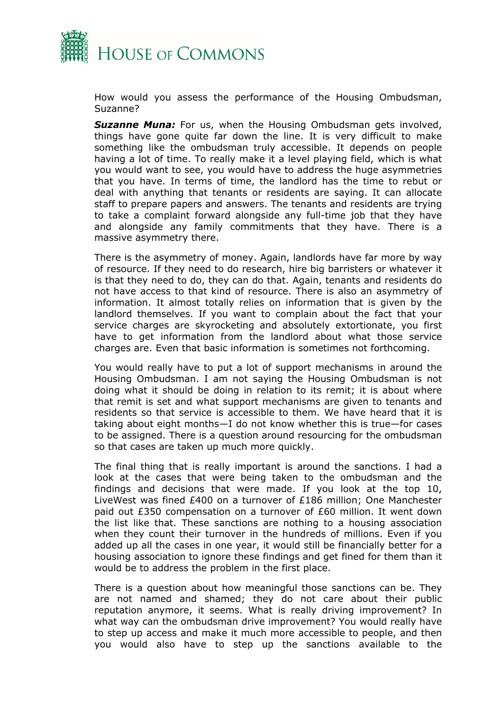

How would you assess the performance of the Housing Ombudsman, Suzanne?

*Suzanne Muna:* For us, when the Housing Ombudsman gets involved, things have gone quite far down the line. It is very difficult to make something like the ombudsman truly accessible. It depends on people having a lot of time. To really make it a level playing field, which is what you would want to see, you would have to address the huge asymmetries that you have. In terms of time, the landlord has the time to rebut or deal with anything that tenants or residents are saying. It can allocate staff to prepare papers and answers. The tenants and residents are trying to take a complaint forward alongside any full-time job that they have and alongside any family commitments that they have. There is a massive asymmetry there.

There is the asymmetry of money. Again, landlords have far more by way of resource. If they need to do research, hire big barristers or whatever it is that they need to do, they can do that. Again, tenants and residents do not have access to that kind of resource. There is also an asymmetry of information. It almost totally relies on information that is given by the landlord themselves. If you want to complain about the fact that your service charges are skyrocketing and absolutely extortionate, you first have to get information from the landlord about what those service charges are. Even that basic information is sometimes not forthcoming.

You would really have to put a lot of support mechanisms in around the Housing Ombudsman. I am not saying the Housing Ombudsman is not doing what it should be doing in relation to its remit; it is about where that remit is set and what support mechanisms are given to tenants and residents so that service is accessible to them. We have heard that it is taking about eight months—I do not know whether this is true—for cases to be assigned. There is a question around resourcing for the ombudsman so that cases are taken up much more quickly.

The final thing that is really important is around the sanctions. I had a look at the cases that were being taken to the ombudsman and the findings and decisions that were made. If you look at the top 10, LiveWest was fined £400 on a turnover of £186 million; One Manchester paid out £350 compensation on a turnover of £60 million. It went down the list like that. These sanctions are nothing to a housing association when they count their turnover in the hundreds of millions. Even if you added up all the cases in one year, it would still be financially better for a housing association to ignore these findings and get fined for them than it would be to address the problem in the first place.

There is a question about how meaningful those sanctions can be. They are not named and shamed; they do not care about their public reputation anymore, it seems. What is really driving improvement? In what way can the ombudsman drive improvement? You would really have to step up access and make it much more accessible to people, and then you would also have to step up the sanctions available to the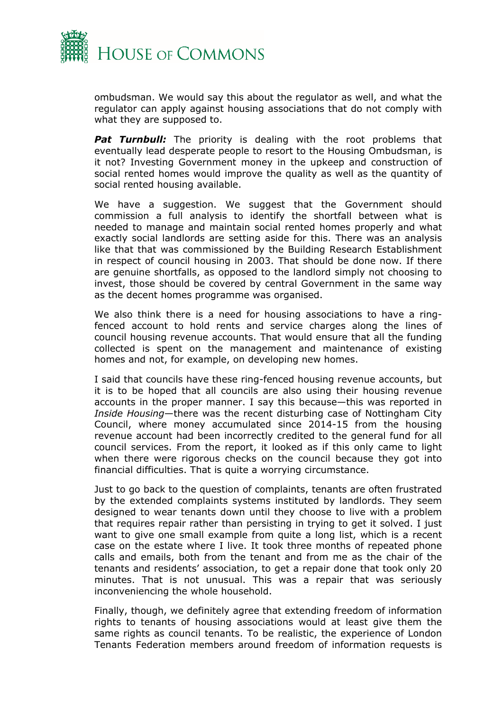

ombudsman. We would say this about the regulator as well, and what the regulator can apply against housing associations that do not comply with what they are supposed to.

**Pat Turnbull:** The priority is dealing with the root problems that eventually lead desperate people to resort to the Housing Ombudsman, is it not? Investing Government money in the upkeep and construction of social rented homes would improve the quality as well as the quantity of social rented housing available.

We have a suggestion. We suggest that the Government should commission a full analysis to identify the shortfall between what is needed to manage and maintain social rented homes properly and what exactly social landlords are setting aside for this. There was an analysis like that that was commissioned by the Building Research Establishment in respect of council housing in 2003. That should be done now. If there are genuine shortfalls, as opposed to the landlord simply not choosing to invest, those should be covered by central Government in the same way as the decent homes programme was organised.

We also think there is a need for housing associations to have a ringfenced account to hold rents and service charges along the lines of council housing revenue accounts. That would ensure that all the funding collected is spent on the management and maintenance of existing homes and not, for example, on developing new homes.

I said that councils have these ring-fenced housing revenue accounts, but it is to be hoped that all councils are also using their housing revenue accounts in the proper manner. I say this because—this was reported in *Inside Housing*—there was the recent disturbing case of Nottingham City Council, where money accumulated since 2014-15 from the housing revenue account had been incorrectly credited to the general fund for all council services. From the report, it looked as if this only came to light when there were rigorous checks on the council because they got into financial difficulties. That is quite a worrying circumstance.

Just to go back to the question of complaints, tenants are often frustrated by the extended complaints systems instituted by landlords. They seem designed to wear tenants down until they choose to live with a problem that requires repair rather than persisting in trying to get it solved. I just want to give one small example from quite a long list, which is a recent case on the estate where I live. It took three months of repeated phone calls and emails, both from the tenant and from me as the chair of the tenants and residents' association, to get a repair done that took only 20 minutes. That is not unusual. This was a repair that was seriously inconveniencing the whole household.

Finally, though, we definitely agree that extending freedom of information rights to tenants of housing associations would at least give them the same rights as council tenants. To be realistic, the experience of London Tenants Federation members around freedom of information requests is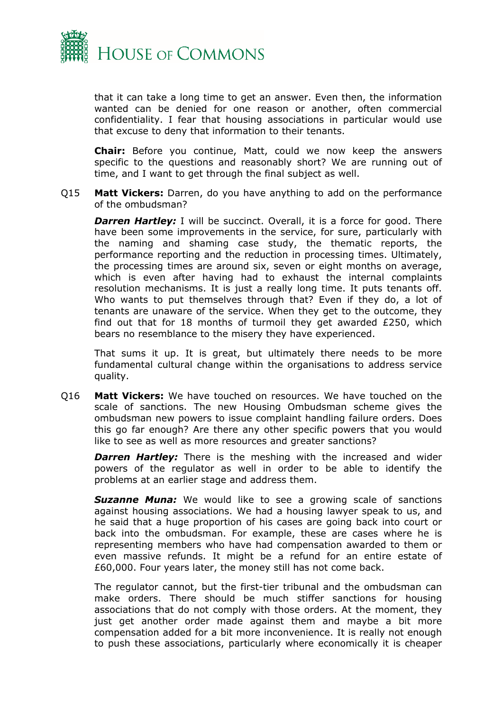

that it can take a long time to get an answer. Even then, the information wanted can be denied for one reason or another, often commercial confidentiality. I fear that housing associations in particular would use that excuse to deny that information to their tenants.

**Chair:** Before you continue, Matt, could we now keep the answers specific to the questions and reasonably short? We are running out of time, and I want to get through the final subject as well.

Q15 **Matt Vickers:** Darren, do you have anything to add on the performance of the ombudsman?

*Darren Hartley:* I will be succinct. Overall, it is a force for good. There have been some improvements in the service, for sure, particularly with the naming and shaming case study, the thematic reports, the performance reporting and the reduction in processing times. Ultimately, the processing times are around six, seven or eight months on average, which is even after having had to exhaust the internal complaints resolution mechanisms. It is just a really long time. It puts tenants off. Who wants to put themselves through that? Even if they do, a lot of tenants are unaware of the service. When they get to the outcome, they find out that for 18 months of turmoil they get awarded £250, which bears no resemblance to the misery they have experienced.

That sums it up. It is great, but ultimately there needs to be more fundamental cultural change within the organisations to address service quality.

Q16 **Matt Vickers:** We have touched on resources. We have touched on the scale of sanctions. The new Housing Ombudsman scheme gives the ombudsman new powers to issue complaint handling failure orders. Does this go far enough? Are there any other specific powers that you would like to see as well as more resources and greater sanctions?

**Darren Hartley:** There is the meshing with the increased and wider powers of the regulator as well in order to be able to identify the problems at an earlier stage and address them.

*Suzanne Muna:* We would like to see a growing scale of sanctions against housing associations. We had a housing lawyer speak to us, and he said that a huge proportion of his cases are going back into court or back into the ombudsman. For example, these are cases where he is representing members who have had compensation awarded to them or even massive refunds. It might be a refund for an entire estate of £60,000. Four years later, the money still has not come back.

The regulator cannot, but the first-tier tribunal and the ombudsman can make orders. There should be much stiffer sanctions for housing associations that do not comply with those orders. At the moment, they just get another order made against them and maybe a bit more compensation added for a bit more inconvenience. It is really not enough to push these associations, particularly where economically it is cheaper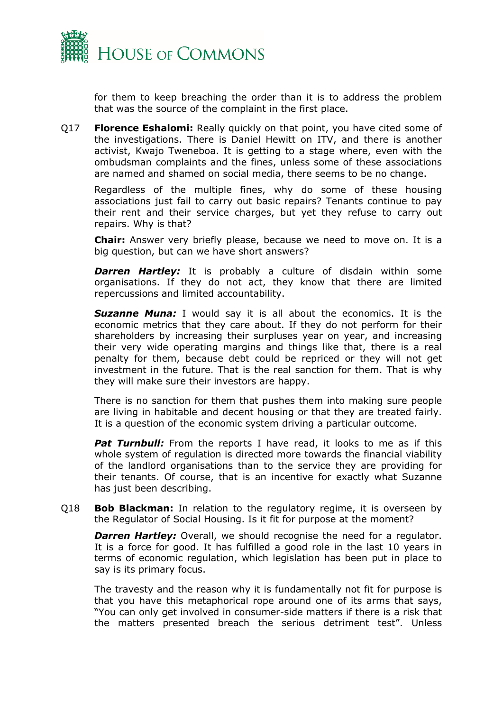

for them to keep breaching the order than it is to address the problem that was the source of the complaint in the first place.

Q17 **Florence Eshalomi:** Really quickly on that point, you have cited some of the investigations. There is Daniel Hewitt on ITV, and there is another activist, Kwajo Tweneboa. It is getting to a stage where, even with the ombudsman complaints and the fines, unless some of these associations are named and shamed on social media, there seems to be no change.

Regardless of the multiple fines, why do some of these housing associations just fail to carry out basic repairs? Tenants continue to pay their rent and their service charges, but yet they refuse to carry out repairs. Why is that?

**Chair:** Answer very briefly please, because we need to move on. It is a big question, but can we have short answers?

*Darren Hartley:* It is probably a culture of disdain within some organisations. If they do not act, they know that there are limited repercussions and limited accountability.

*Suzanne Muna:* I would say it is all about the economics. It is the economic metrics that they care about. If they do not perform for their shareholders by increasing their surpluses year on year, and increasing their very wide operating margins and things like that, there is a real penalty for them, because debt could be repriced or they will not get investment in the future. That is the real sanction for them. That is why they will make sure their investors are happy.

There is no sanction for them that pushes them into making sure people are living in habitable and decent housing or that they are treated fairly. It is a question of the economic system driving a particular outcome.

**Pat Turnbull:** From the reports I have read, it looks to me as if this whole system of regulation is directed more towards the financial viability of the landlord organisations than to the service they are providing for their tenants. Of course, that is an incentive for exactly what Suzanne has just been describing.

Q18 **Bob Blackman:** In relation to the regulatory regime, it is overseen by the Regulator of Social Housing. Is it fit for purpose at the moment?

*Darren Hartley:* Overall, we should recognise the need for a regulator. It is a force for good. It has fulfilled a good role in the last 10 years in terms of economic regulation, which legislation has been put in place to say is its primary focus.

The travesty and the reason why it is fundamentally not fit for purpose is that you have this metaphorical rope around one of its arms that says, "You can only get involved in consumer-side matters if there is a risk that the matters presented breach the serious detriment test". Unless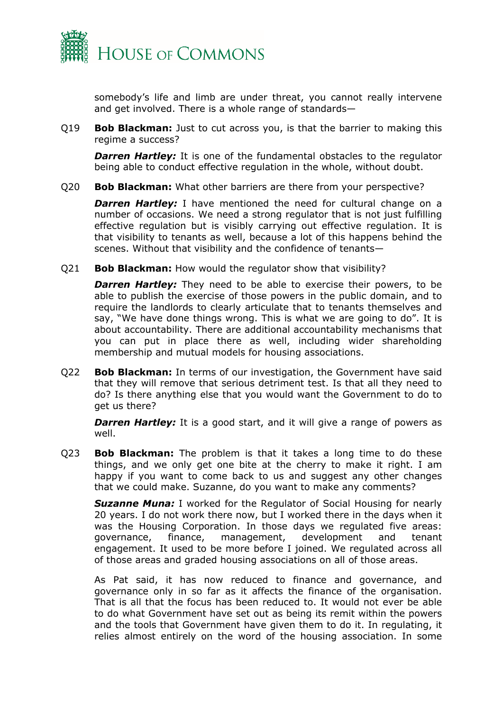

somebody's life and limb are under threat, you cannot really intervene and get involved. There is a whole range of standards—

Q19 **Bob Blackman:** Just to cut across you, is that the barrier to making this regime a success?

*Darren Hartley:* It is one of the fundamental obstacles to the regulator being able to conduct effective regulation in the whole, without doubt.

Q20 **Bob Blackman:** What other barriers are there from your perspective?

*Darren Hartley:* I have mentioned the need for cultural change on a number of occasions. We need a strong regulator that is not just fulfilling effective regulation but is visibly carrying out effective regulation. It is that visibility to tenants as well, because a lot of this happens behind the scenes. Without that visibility and the confidence of tenants—

Q21 **Bob Blackman:** How would the regulator show that visibility?

*Darren Hartley:* They need to be able to exercise their powers, to be able to publish the exercise of those powers in the public domain, and to require the landlords to clearly articulate that to tenants themselves and say, "We have done things wrong. This is what we are going to do". It is about accountability. There are additional accountability mechanisms that you can put in place there as well, including wider shareholding membership and mutual models for housing associations.

Q22 **Bob Blackman:** In terms of our investigation, the Government have said that they will remove that serious detriment test. Is that all they need to do? Is there anything else that you would want the Government to do to get us there?

**Darren Hartley:** It is a good start, and it will give a range of powers as well.

Q23 **Bob Blackman:** The problem is that it takes a long time to do these things, and we only get one bite at the cherry to make it right. I am happy if you want to come back to us and suggest any other changes that we could make. Suzanne, do you want to make any comments?

**Suzanne Muna:** I worked for the Regulator of Social Housing for nearly 20 years. I do not work there now, but I worked there in the days when it was the Housing Corporation. In those days we regulated five areas: governance, finance, management, development and tenant engagement. It used to be more before I joined. We regulated across all of those areas and graded housing associations on all of those areas.

As Pat said, it has now reduced to finance and governance, and governance only in so far as it affects the finance of the organisation. That is all that the focus has been reduced to. It would not ever be able to do what Government have set out as being its remit within the powers and the tools that Government have given them to do it. In regulating, it relies almost entirely on the word of the housing association. In some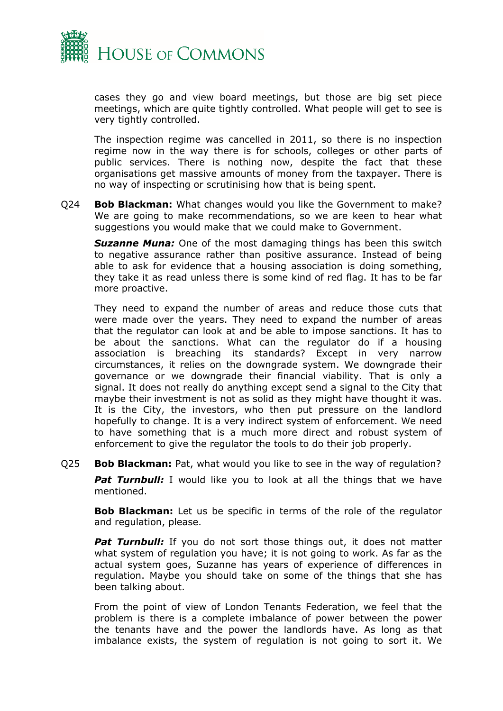

cases they go and view board meetings, but those are big set piece meetings, which are quite tightly controlled. What people will get to see is very tightly controlled.

The inspection regime was cancelled in 2011, so there is no inspection regime now in the way there is for schools, colleges or other parts of public services. There is nothing now, despite the fact that these organisations get massive amounts of money from the taxpayer. There is no way of inspecting or scrutinising how that is being spent.

Q24 **Bob Blackman:** What changes would you like the Government to make? We are going to make recommendations, so we are keen to hear what suggestions you would make that we could make to Government.

*Suzanne Muna:* One of the most damaging things has been this switch to negative assurance rather than positive assurance. Instead of being able to ask for evidence that a housing association is doing something, they take it as read unless there is some kind of red flag. It has to be far more proactive.

They need to expand the number of areas and reduce those cuts that were made over the years. They need to expand the number of areas that the regulator can look at and be able to impose sanctions. It has to be about the sanctions. What can the regulator do if a housing association is breaching its standards? Except in very narrow circumstances, it relies on the downgrade system. We downgrade their governance or we downgrade their financial viability. That is only a signal. It does not really do anything except send a signal to the City that maybe their investment is not as solid as they might have thought it was. It is the City, the investors, who then put pressure on the landlord hopefully to change. It is a very indirect system of enforcement. We need to have something that is a much more direct and robust system of enforcement to give the regulator the tools to do their job properly.

Q25 **Bob Blackman:** Pat, what would you like to see in the way of regulation?

**Pat Turnbull:** I would like you to look at all the things that we have mentioned.

**Bob Blackman:** Let us be specific in terms of the role of the regulator and regulation, please.

**Pat Turnbull:** If you do not sort those things out, it does not matter what system of regulation you have; it is not going to work. As far as the actual system goes, Suzanne has years of experience of differences in regulation. Maybe you should take on some of the things that she has been talking about.

From the point of view of London Tenants Federation, we feel that the problem is there is a complete imbalance of power between the power the tenants have and the power the landlords have. As long as that imbalance exists, the system of regulation is not going to sort it. We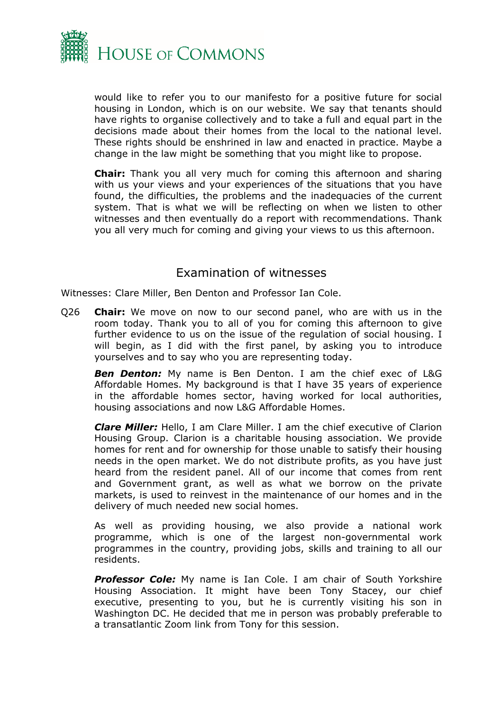

would like to refer you to our manifesto for a positive future for social housing in London, which is on our website. We say that tenants should have rights to organise collectively and to take a full and equal part in the decisions made about their homes from the local to the national level. These rights should be enshrined in law and enacted in practice. Maybe a change in the law might be something that you might like to propose.

**Chair:** Thank you all very much for coming this afternoon and sharing with us your views and your experiences of the situations that you have found, the difficulties, the problems and the inadequacies of the current system. That is what we will be reflecting on when we listen to other witnesses and then eventually do a report with recommendations. Thank you all very much for coming and giving your views to us this afternoon.

## Examination of witnesses

Witnesses: Clare Miller, Ben Denton and Professor Ian Cole.

<span id="page-21-0"></span>Q26 **Chair:** We move on now to our second panel, who are with us in the room today. Thank you to all of you for coming this afternoon to give further evidence to us on the issue of the regulation of social housing. I will begin, as I did with the first panel, by asking you to introduce yourselves and to say who you are representing today.

*Ben Denton:* My name is Ben Denton. I am the chief exec of L&G Affordable Homes. My background is that I have 35 years of experience in the affordable homes sector, having worked for local authorities, housing associations and now L&G Affordable Homes.

*Clare Miller:* Hello, I am Clare Miller. I am the chief executive of Clarion Housing Group. Clarion is a charitable housing association. We provide homes for rent and for ownership for those unable to satisfy their housing needs in the open market. We do not distribute profits, as you have just heard from the resident panel. All of our income that comes from rent and Government grant, as well as what we borrow on the private markets, is used to reinvest in the maintenance of our homes and in the delivery of much needed new social homes.

As well as providing housing, we also provide a national work programme, which is one of the largest non-governmental work programmes in the country, providing jobs, skills and training to all our residents.

**Professor Cole:** My name is Ian Cole. I am chair of South Yorkshire Housing Association. It might have been Tony Stacey, our chief executive, presenting to you, but he is currently visiting his son in Washington DC. He decided that me in person was probably preferable to a transatlantic Zoom link from Tony for this session.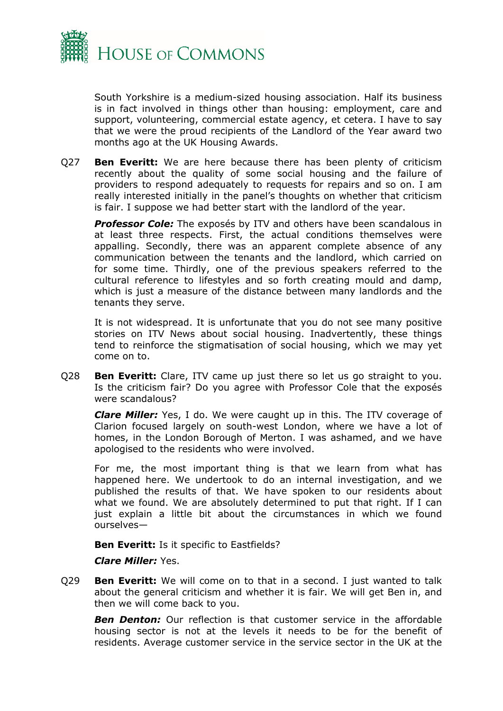

South Yorkshire is a medium-sized housing association. Half its business is in fact involved in things other than housing: employment, care and support, volunteering, commercial estate agency, et cetera. I have to say that we were the proud recipients of the Landlord of the Year award two months ago at the UK Housing Awards.

Q27 **Ben Everitt:** We are here because there has been plenty of criticism recently about the quality of some social housing and the failure of providers to respond adequately to requests for repairs and so on. I am really interested initially in the panel's thoughts on whether that criticism is fair. I suppose we had better start with the landlord of the year.

**Professor Cole:** The exposés by ITV and others have been scandalous in at least three respects. First, the actual conditions themselves were appalling. Secondly, there was an apparent complete absence of any communication between the tenants and the landlord, which carried on for some time. Thirdly, one of the previous speakers referred to the cultural reference to lifestyles and so forth creating mould and damp, which is just a measure of the distance between many landlords and the tenants they serve.

It is not widespread. It is unfortunate that you do not see many positive stories on ITV News about social housing. Inadvertently, these things tend to reinforce the stigmatisation of social housing, which we may yet come on to.

Q28 **Ben Everitt:** Clare, ITV came up just there so let us go straight to you. Is the criticism fair? Do you agree with Professor Cole that the exposés were scandalous?

*Clare Miller:* Yes, I do. We were caught up in this. The ITV coverage of Clarion focused largely on south-west London, where we have a lot of homes, in the London Borough of Merton. I was ashamed, and we have apologised to the residents who were involved.

For me, the most important thing is that we learn from what has happened here. We undertook to do an internal investigation, and we published the results of that. We have spoken to our residents about what we found. We are absolutely determined to put that right. If I can just explain a little bit about the circumstances in which we found ourselves—

**Ben Everitt:** Is it specific to Eastfields?

## *Clare Miller:* Yes.

Q29 **Ben Everitt:** We will come on to that in a second. I just wanted to talk about the general criticism and whether it is fair. We will get Ben in, and then we will come back to you.

*Ben Denton:* Our reflection is that customer service in the affordable housing sector is not at the levels it needs to be for the benefit of residents. Average customer service in the service sector in the UK at the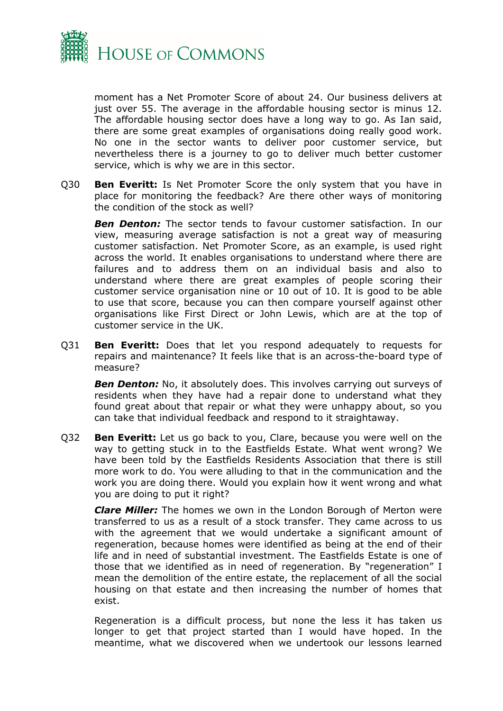

moment has a Net Promoter Score of about 24. Our business delivers at just over 55. The average in the affordable housing sector is minus 12. The affordable housing sector does have a long way to go. As Ian said, there are some great examples of organisations doing really good work. No one in the sector wants to deliver poor customer service, but nevertheless there is a journey to go to deliver much better customer service, which is why we are in this sector.

Q30 **Ben Everitt:** Is Net Promoter Score the only system that you have in place for monitoring the feedback? Are there other ways of monitoring the condition of the stock as well?

*Ben Denton:* The sector tends to favour customer satisfaction. In our view, measuring average satisfaction is not a great way of measuring customer satisfaction. Net Promoter Score, as an example, is used right across the world. It enables organisations to understand where there are failures and to address them on an individual basis and also to understand where there are great examples of people scoring their customer service organisation nine or 10 out of 10. It is good to be able to use that score, because you can then compare yourself against other organisations like First Direct or John Lewis, which are at the top of customer service in the UK.

Q31 **Ben Everitt:** Does that let you respond adequately to requests for repairs and maintenance? It feels like that is an across-the-board type of measure?

*Ben Denton:* No, it absolutely does. This involves carrying out surveys of residents when they have had a repair done to understand what they found great about that repair or what they were unhappy about, so you can take that individual feedback and respond to it straightaway.

Q32 **Ben Everitt:** Let us go back to you, Clare, because you were well on the way to getting stuck in to the Eastfields Estate. What went wrong? We have been told by the Eastfields Residents Association that there is still more work to do. You were alluding to that in the communication and the work you are doing there. Would you explain how it went wrong and what you are doing to put it right?

*Clare Miller:* The homes we own in the London Borough of Merton were transferred to us as a result of a stock transfer. They came across to us with the agreement that we would undertake a significant amount of regeneration, because homes were identified as being at the end of their life and in need of substantial investment. The Eastfields Estate is one of those that we identified as in need of regeneration. By "regeneration" I mean the demolition of the entire estate, the replacement of all the social housing on that estate and then increasing the number of homes that exist.

Regeneration is a difficult process, but none the less it has taken us longer to get that project started than I would have hoped. In the meantime, what we discovered when we undertook our lessons learned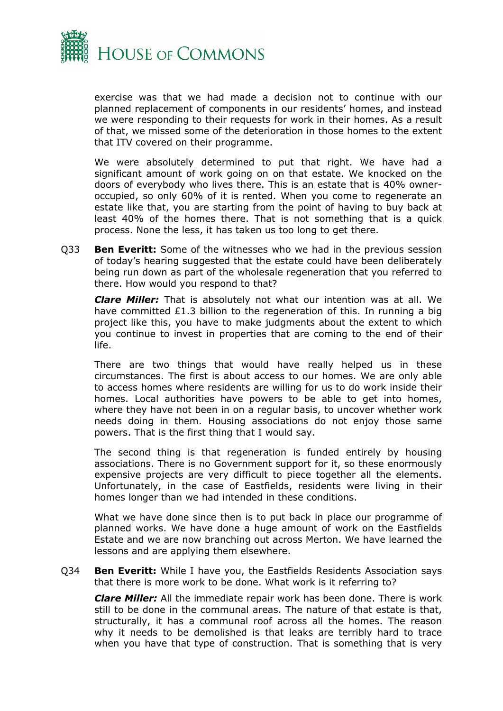

exercise was that we had made a decision not to continue with our planned replacement of components in our residents' homes, and instead we were responding to their requests for work in their homes. As a result of that, we missed some of the deterioration in those homes to the extent that ITV covered on their programme.

We were absolutely determined to put that right. We have had a significant amount of work going on on that estate. We knocked on the doors of everybody who lives there. This is an estate that is 40% owneroccupied, so only 60% of it is rented. When you come to regenerate an estate like that, you are starting from the point of having to buy back at least 40% of the homes there. That is not something that is a quick process. None the less, it has taken us too long to get there.

Q33 **Ben Everitt:** Some of the witnesses who we had in the previous session of today's hearing suggested that the estate could have been deliberately being run down as part of the wholesale regeneration that you referred to there. How would you respond to that?

*Clare Miller:* That is absolutely not what our intention was at all. We have committed £1.3 billion to the regeneration of this. In running a big project like this, you have to make judgments about the extent to which you continue to invest in properties that are coming to the end of their life.

There are two things that would have really helped us in these circumstances. The first is about access to our homes. We are only able to access homes where residents are willing for us to do work inside their homes. Local authorities have powers to be able to get into homes, where they have not been in on a regular basis, to uncover whether work needs doing in them. Housing associations do not enjoy those same powers. That is the first thing that I would say.

The second thing is that regeneration is funded entirely by housing associations. There is no Government support for it, so these enormously expensive projects are very difficult to piece together all the elements. Unfortunately, in the case of Eastfields, residents were living in their homes longer than we had intended in these conditions.

What we have done since then is to put back in place our programme of planned works. We have done a huge amount of work on the Eastfields Estate and we are now branching out across Merton. We have learned the lessons and are applying them elsewhere.

Q34 **Ben Everitt:** While I have you, the Eastfields Residents Association says that there is more work to be done. What work is it referring to?

*Clare Miller:* All the immediate repair work has been done. There is work still to be done in the communal areas. The nature of that estate is that, structurally, it has a communal roof across all the homes. The reason why it needs to be demolished is that leaks are terribly hard to trace when you have that type of construction. That is something that is very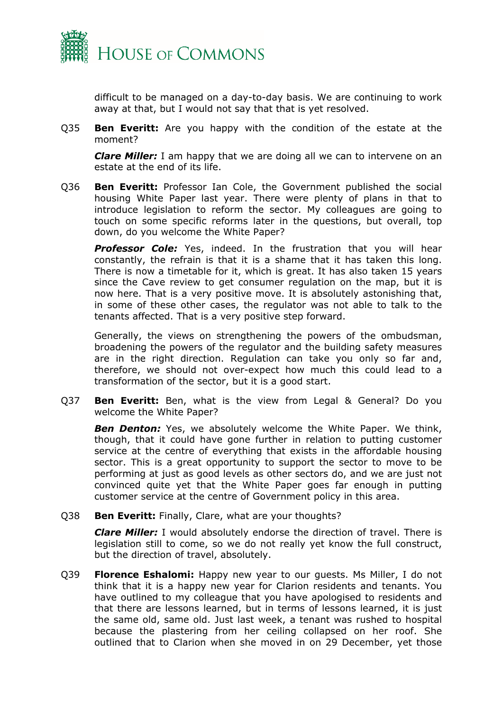

difficult to be managed on a day-to-day basis. We are continuing to work away at that, but I would not say that that is yet resolved.

Q35 **Ben Everitt:** Are you happy with the condition of the estate at the moment?

*Clare Miller:* I am happy that we are doing all we can to intervene on an estate at the end of its life.

Q36 **Ben Everitt:** Professor Ian Cole, the Government published the social housing White Paper last year. There were plenty of plans in that to introduce legislation to reform the sector. My colleagues are going to touch on some specific reforms later in the questions, but overall, top down, do you welcome the White Paper?

*Professor Cole:* Yes, indeed. In the frustration that you will hear constantly, the refrain is that it is a shame that it has taken this long. There is now a timetable for it, which is great. It has also taken 15 years since the Cave review to get consumer regulation on the map, but it is now here. That is a very positive move. It is absolutely astonishing that, in some of these other cases, the regulator was not able to talk to the tenants affected. That is a very positive step forward.

Generally, the views on strengthening the powers of the ombudsman, broadening the powers of the regulator and the building safety measures are in the right direction. Regulation can take you only so far and, therefore, we should not over-expect how much this could lead to a transformation of the sector, but it is a good start.

Q37 **Ben Everitt:** Ben, what is the view from Legal & General? Do you welcome the White Paper?

**Ben Denton:** Yes, we absolutely welcome the White Paper. We think, though, that it could have gone further in relation to putting customer service at the centre of everything that exists in the affordable housing sector. This is a great opportunity to support the sector to move to be performing at just as good levels as other sectors do, and we are just not convinced quite yet that the White Paper goes far enough in putting customer service at the centre of Government policy in this area.

Q38 **Ben Everitt:** Finally, Clare, what are your thoughts?

*Clare Miller:* I would absolutely endorse the direction of travel. There is legislation still to come, so we do not really yet know the full construct, but the direction of travel, absolutely.

Q39 **Florence Eshalomi:** Happy new year to our guests. Ms Miller, I do not think that it is a happy new year for Clarion residents and tenants. You have outlined to my colleague that you have apologised to residents and that there are lessons learned, but in terms of lessons learned, it is just the same old, same old. Just last week, a tenant was rushed to hospital because the plastering from her ceiling collapsed on her roof. She outlined that to Clarion when she moved in on 29 December, yet those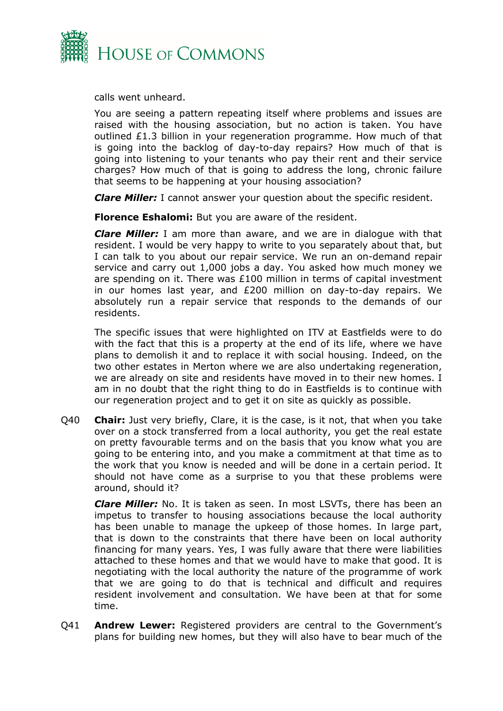

calls went unheard.

You are seeing a pattern repeating itself where problems and issues are raised with the housing association, but no action is taken. You have outlined £1.3 billion in your regeneration programme. How much of that is going into the backlog of day-to-day repairs? How much of that is going into listening to your tenants who pay their rent and their service charges? How much of that is going to address the long, chronic failure that seems to be happening at your housing association?

*Clare Miller:* I cannot answer your question about the specific resident.

**Florence Eshalomi:** But you are aware of the resident.

*Clare Miller:* I am more than aware, and we are in dialogue with that resident. I would be very happy to write to you separately about that, but I can talk to you about our repair service. We run an on-demand repair service and carry out 1,000 jobs a day. You asked how much money we are spending on it. There was  $£100$  million in terms of capital investment in our homes last year, and £200 million on day-to-day repairs. We absolutely run a repair service that responds to the demands of our residents.

The specific issues that were highlighted on ITV at Eastfields were to do with the fact that this is a property at the end of its life, where we have plans to demolish it and to replace it with social housing. Indeed, on the two other estates in Merton where we are also undertaking regeneration, we are already on site and residents have moved in to their new homes. I am in no doubt that the right thing to do in Eastfields is to continue with our regeneration project and to get it on site as quickly as possible.

Q40 **Chair:** Just very briefly, Clare, it is the case, is it not, that when you take over on a stock transferred from a local authority, you get the real estate on pretty favourable terms and on the basis that you know what you are going to be entering into, and you make a commitment at that time as to the work that you know is needed and will be done in a certain period. It should not have come as a surprise to you that these problems were around, should it?

*Clare Miller:* No. It is taken as seen. In most LSVTs, there has been an impetus to transfer to housing associations because the local authority has been unable to manage the upkeep of those homes. In large part, that is down to the constraints that there have been on local authority financing for many years. Yes, I was fully aware that there were liabilities attached to these homes and that we would have to make that good. It is negotiating with the local authority the nature of the programme of work that we are going to do that is technical and difficult and requires resident involvement and consultation. We have been at that for some time.

Q41 **Andrew Lewer:** Registered providers are central to the Government's plans for building new homes, but they will also have to bear much of the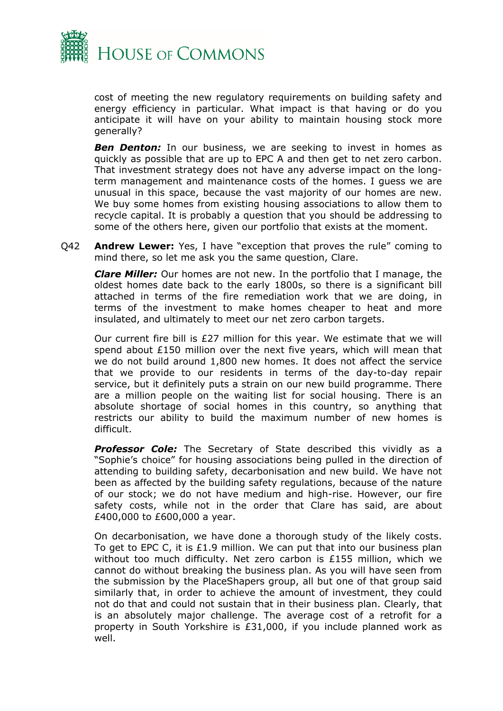

cost of meeting the new regulatory requirements on building safety and energy efficiency in particular. What impact is that having or do you anticipate it will have on your ability to maintain housing stock more generally?

**Ben Denton:** In our business, we are seeking to invest in homes as quickly as possible that are up to EPC A and then get to net zero carbon. That investment strategy does not have any adverse impact on the longterm management and maintenance costs of the homes. I guess we are unusual in this space, because the vast majority of our homes are new. We buy some homes from existing housing associations to allow them to recycle capital. It is probably a question that you should be addressing to some of the others here, given our portfolio that exists at the moment.

Q42 **Andrew Lewer:** Yes, I have "exception that proves the rule" coming to mind there, so let me ask you the same question, Clare.

*Clare Miller:* Our homes are not new. In the portfolio that I manage, the oldest homes date back to the early 1800s, so there is a significant bill attached in terms of the fire remediation work that we are doing, in terms of the investment to make homes cheaper to heat and more insulated, and ultimately to meet our net zero carbon targets.

Our current fire bill is £27 million for this year. We estimate that we will spend about £150 million over the next five years, which will mean that we do not build around 1,800 new homes. It does not affect the service that we provide to our residents in terms of the day-to-day repair service, but it definitely puts a strain on our new build programme. There are a million people on the waiting list for social housing. There is an absolute shortage of social homes in this country, so anything that restricts our ability to build the maximum number of new homes is difficult.

**Professor Cole:** The Secretary of State described this vividly as a "Sophie's choice" for housing associations being pulled in the direction of attending to building safety, decarbonisation and new build. We have not been as affected by the building safety regulations, because of the nature of our stock; we do not have medium and high-rise. However, our fire safety costs, while not in the order that Clare has said, are about £400,000 to £600,000 a year.

On decarbonisation, we have done a thorough study of the likely costs. To get to EPC C, it is £1.9 million. We can put that into our business plan without too much difficulty. Net zero carbon is £155 million, which we cannot do without breaking the business plan. As you will have seen from the submission by the PlaceShapers group, all but one of that group said similarly that, in order to achieve the amount of investment, they could not do that and could not sustain that in their business plan. Clearly, that is an absolutely major challenge. The average cost of a retrofit for a property in South Yorkshire is £31,000, if you include planned work as well.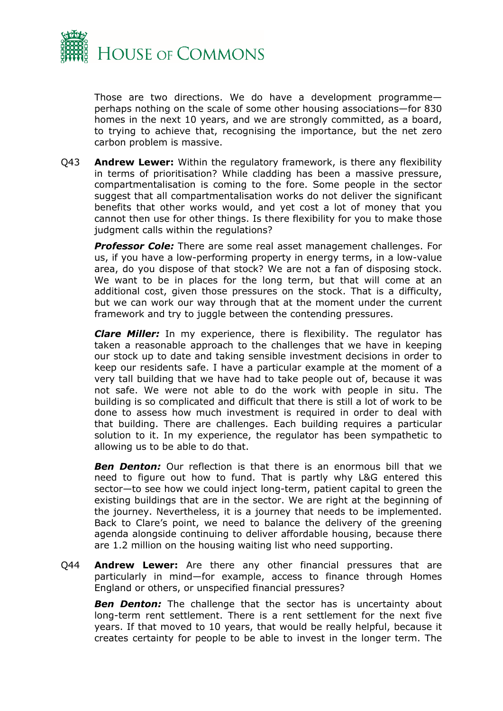

Those are two directions. We do have a development programme perhaps nothing on the scale of some other housing associations—for 830 homes in the next 10 years, and we are strongly committed, as a board, to trying to achieve that, recognising the importance, but the net zero carbon problem is massive.

Q43 **Andrew Lewer:** Within the regulatory framework, is there any flexibility in terms of prioritisation? While cladding has been a massive pressure, compartmentalisation is coming to the fore. Some people in the sector suggest that all compartmentalisation works do not deliver the significant benefits that other works would, and yet cost a lot of money that you cannot then use for other things. Is there flexibility for you to make those judgment calls within the regulations?

*Professor Cole:* There are some real asset management challenges. For us, if you have a low-performing property in energy terms, in a low-value area, do you dispose of that stock? We are not a fan of disposing stock. We want to be in places for the long term, but that will come at an additional cost, given those pressures on the stock. That is a difficulty, but we can work our way through that at the moment under the current framework and try to juggle between the contending pressures.

*Clare Miller:* In my experience, there is flexibility. The regulator has taken a reasonable approach to the challenges that we have in keeping our stock up to date and taking sensible investment decisions in order to keep our residents safe. I have a particular example at the moment of a very tall building that we have had to take people out of, because it was not safe. We were not able to do the work with people in situ. The building is so complicated and difficult that there is still a lot of work to be done to assess how much investment is required in order to deal with that building. There are challenges. Each building requires a particular solution to it. In my experience, the regulator has been sympathetic to allowing us to be able to do that.

*Ben Denton:* Our reflection is that there is an enormous bill that we need to figure out how to fund. That is partly why L&G entered this sector—to see how we could inject long-term, patient capital to green the existing buildings that are in the sector. We are right at the beginning of the journey. Nevertheless, it is a journey that needs to be implemented. Back to Clare's point, we need to balance the delivery of the greening agenda alongside continuing to deliver affordable housing, because there are 1.2 million on the housing waiting list who need supporting.

Q44 **Andrew Lewer:** Are there any other financial pressures that are particularly in mind—for example, access to finance through Homes England or others, or unspecified financial pressures?

**Ben Denton:** The challenge that the sector has is uncertainty about long-term rent settlement. There is a rent settlement for the next five years. If that moved to 10 years, that would be really helpful, because it creates certainty for people to be able to invest in the longer term. The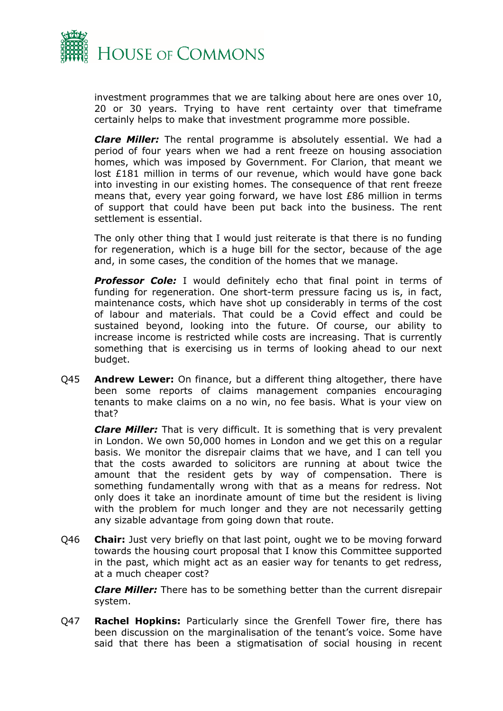

investment programmes that we are talking about here are ones over 10, 20 or 30 years. Trying to have rent certainty over that timeframe certainly helps to make that investment programme more possible.

*Clare Miller:* The rental programme is absolutely essential. We had a period of four years when we had a rent freeze on housing association homes, which was imposed by Government. For Clarion, that meant we lost £181 million in terms of our revenue, which would have gone back into investing in our existing homes. The consequence of that rent freeze means that, every year going forward, we have lost £86 million in terms of support that could have been put back into the business. The rent settlement is essential.

The only other thing that I would just reiterate is that there is no funding for regeneration, which is a huge bill for the sector, because of the age and, in some cases, the condition of the homes that we manage.

**Professor Cole:** I would definitely echo that final point in terms of funding for regeneration. One short-term pressure facing us is, in fact, maintenance costs, which have shot up considerably in terms of the cost of labour and materials. That could be a Covid effect and could be sustained beyond, looking into the future. Of course, our ability to increase income is restricted while costs are increasing. That is currently something that is exercising us in terms of looking ahead to our next budget.

Q45 **Andrew Lewer:** On finance, but a different thing altogether, there have been some reports of claims management companies encouraging tenants to make claims on a no win, no fee basis. What is your view on that?

*Clare Miller:* That is very difficult. It is something that is very prevalent in London. We own 50,000 homes in London and we get this on a regular basis. We monitor the disrepair claims that we have, and I can tell you that the costs awarded to solicitors are running at about twice the amount that the resident gets by way of compensation. There is something fundamentally wrong with that as a means for redress. Not only does it take an inordinate amount of time but the resident is living with the problem for much longer and they are not necessarily getting any sizable advantage from going down that route.

Q46 **Chair:** Just very briefly on that last point, ought we to be moving forward towards the housing court proposal that I know this Committee supported in the past, which might act as an easier way for tenants to get redress, at a much cheaper cost?

*Clare Miller:* There has to be something better than the current disrepair system.

Q47 **Rachel Hopkins:** Particularly since the Grenfell Tower fire, there has been discussion on the marginalisation of the tenant's voice. Some have said that there has been a stigmatisation of social housing in recent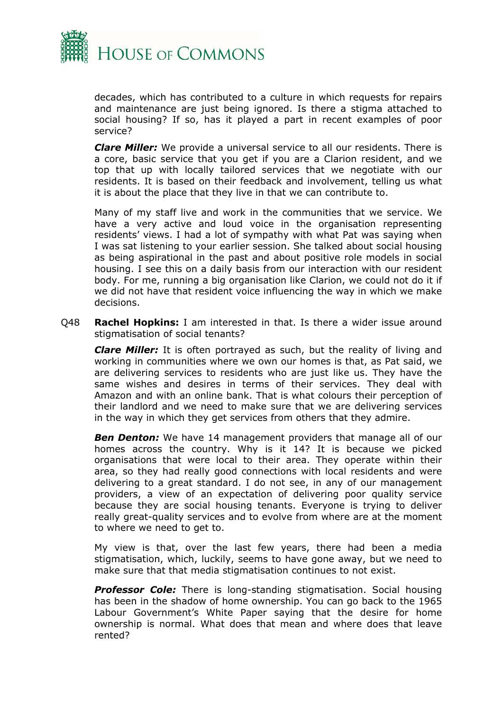

decades, which has contributed to a culture in which requests for repairs and maintenance are just being ignored. Is there a stigma attached to social housing? If so, has it played a part in recent examples of poor service?

*Clare Miller:* We provide a universal service to all our residents. There is a core, basic service that you get if you are a Clarion resident, and we top that up with locally tailored services that we negotiate with our residents. It is based on their feedback and involvement, telling us what it is about the place that they live in that we can contribute to.

Many of my staff live and work in the communities that we service. We have a very active and loud voice in the organisation representing residents' views. I had a lot of sympathy with what Pat was saying when I was sat listening to your earlier session. She talked about social housing as being aspirational in the past and about positive role models in social housing. I see this on a daily basis from our interaction with our resident body. For me, running a big organisation like Clarion, we could not do it if we did not have that resident voice influencing the way in which we make decisions.

Q48 **Rachel Hopkins:** I am interested in that. Is there a wider issue around stigmatisation of social tenants?

*Clare Miller:* It is often portrayed as such, but the reality of living and working in communities where we own our homes is that, as Pat said, we are delivering services to residents who are just like us. They have the same wishes and desires in terms of their services. They deal with Amazon and with an online bank. That is what colours their perception of their landlord and we need to make sure that we are delivering services in the way in which they get services from others that they admire.

*Ben Denton:* We have 14 management providers that manage all of our homes across the country. Why is it 14? It is because we picked organisations that were local to their area. They operate within their area, so they had really good connections with local residents and were delivering to a great standard. I do not see, in any of our management providers, a view of an expectation of delivering poor quality service because they are social housing tenants. Everyone is trying to deliver really great-quality services and to evolve from where are at the moment to where we need to get to.

My view is that, over the last few years, there had been a media stigmatisation, which, luckily, seems to have gone away, but we need to make sure that that media stigmatisation continues to not exist.

*Professor Cole:* There is long-standing stigmatisation. Social housing has been in the shadow of home ownership. You can go back to the 1965 Labour Government's White Paper saying that the desire for home ownership is normal. What does that mean and where does that leave rented?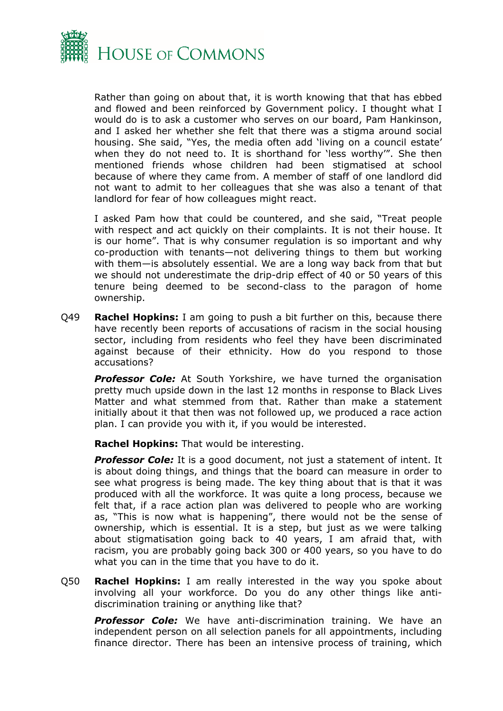

Rather than going on about that, it is worth knowing that that has ebbed and flowed and been reinforced by Government policy. I thought what I would do is to ask a customer who serves on our board, Pam Hankinson, and I asked her whether she felt that there was a stigma around social housing. She said, "Yes, the media often add 'living on a council estate' when they do not need to. It is shorthand for 'less worthy'". She then mentioned friends whose children had been stigmatised at school because of where they came from. A member of staff of one landlord did not want to admit to her colleagues that she was also a tenant of that landlord for fear of how colleagues might react.

I asked Pam how that could be countered, and she said, "Treat people with respect and act quickly on their complaints. It is not their house. It is our home". That is why consumer regulation is so important and why co-production with tenants—not delivering things to them but working with them—is absolutely essential. We are a long way back from that but we should not underestimate the drip-drip effect of 40 or 50 years of this tenure being deemed to be second-class to the paragon of home ownership.

Q49 **Rachel Hopkins:** I am going to push a bit further on this, because there have recently been reports of accusations of racism in the social housing sector, including from residents who feel they have been discriminated against because of their ethnicity. How do you respond to those accusations?

**Professor Cole:** At South Yorkshire, we have turned the organisation pretty much upside down in the last 12 months in response to Black Lives Matter and what stemmed from that. Rather than make a statement initially about it that then was not followed up, we produced a race action plan. I can provide you with it, if you would be interested.

**Rachel Hopkins:** That would be interesting.

*Professor Cole:* It is a good document, not just a statement of intent. It is about doing things, and things that the board can measure in order to see what progress is being made. The key thing about that is that it was produced with all the workforce. It was quite a long process, because we felt that, if a race action plan was delivered to people who are working as, "This is now what is happening", there would not be the sense of ownership, which is essential. It is a step, but just as we were talking about stigmatisation going back to 40 years, I am afraid that, with racism, you are probably going back 300 or 400 years, so you have to do what you can in the time that you have to do it.

Q50 **Rachel Hopkins:** I am really interested in the way you spoke about involving all your workforce. Do you do any other things like antidiscrimination training or anything like that?

**Professor Cole:** We have anti-discrimination training. We have an independent person on all selection panels for all appointments, including finance director. There has been an intensive process of training, which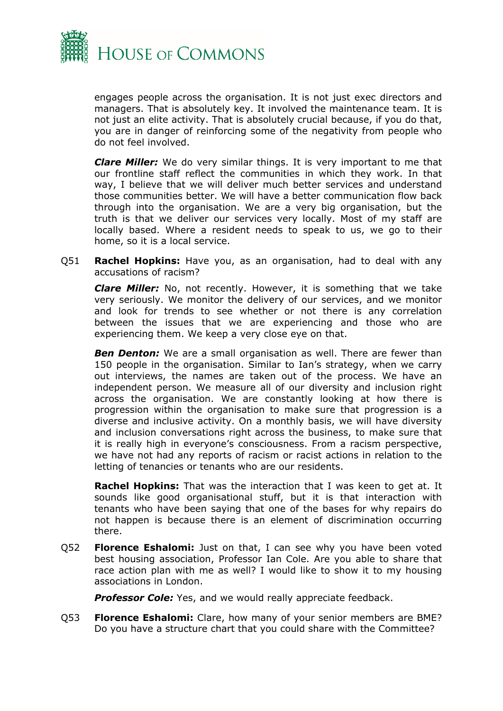

engages people across the organisation. It is not just exec directors and managers. That is absolutely key. It involved the maintenance team. It is not just an elite activity. That is absolutely crucial because, if you do that, you are in danger of reinforcing some of the negativity from people who do not feel involved.

*Clare Miller:* We do very similar things. It is very important to me that our frontline staff reflect the communities in which they work. In that way, I believe that we will deliver much better services and understand those communities better. We will have a better communication flow back through into the organisation. We are a very big organisation, but the truth is that we deliver our services very locally. Most of my staff are locally based. Where a resident needs to speak to us, we go to their home, so it is a local service.

Q51 **Rachel Hopkins:** Have you, as an organisation, had to deal with any accusations of racism?

*Clare Miller:* No, not recently. However, it is something that we take very seriously. We monitor the delivery of our services, and we monitor and look for trends to see whether or not there is any correlation between the issues that we are experiencing and those who are experiencing them. We keep a very close eye on that.

**Ben Denton:** We are a small organisation as well. There are fewer than 150 people in the organisation. Similar to Ian's strategy, when we carry out interviews, the names are taken out of the process. We have an independent person. We measure all of our diversity and inclusion right across the organisation. We are constantly looking at how there is progression within the organisation to make sure that progression is a diverse and inclusive activity. On a monthly basis, we will have diversity and inclusion conversations right across the business, to make sure that it is really high in everyone's consciousness. From a racism perspective, we have not had any reports of racism or racist actions in relation to the letting of tenancies or tenants who are our residents.

**Rachel Hopkins:** That was the interaction that I was keen to get at. It sounds like good organisational stuff, but it is that interaction with tenants who have been saying that one of the bases for why repairs do not happen is because there is an element of discrimination occurring there.

Q52 **Florence Eshalomi:** Just on that, I can see why you have been voted best housing association, Professor Ian Cole. Are you able to share that race action plan with me as well? I would like to show it to my housing associations in London.

**Professor Cole:** Yes, and we would really appreciate feedback.

Q53 **Florence Eshalomi:** Clare, how many of your senior members are BME? Do you have a structure chart that you could share with the Committee?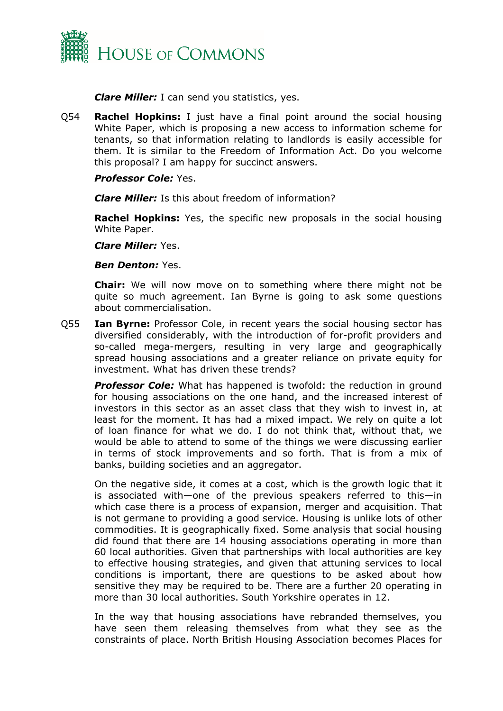

*Clare Miller:* I can send you statistics, yes.

Q54 **Rachel Hopkins:** I just have a final point around the social housing White Paper, which is proposing a new access to information scheme for tenants, so that information relating to landlords is easily accessible for them. It is similar to the Freedom of Information Act. Do you welcome this proposal? I am happy for succinct answers.

## *Professor Cole:* Yes.

*Clare Miller:* Is this about freedom of information?

**Rachel Hopkins:** Yes, the specific new proposals in the social housing White Paper.

*Clare Miller:* Yes.

#### *Ben Denton:* Yes.

**Chair:** We will now move on to something where there might not be quite so much agreement. Ian Byrne is going to ask some questions about commercialisation.

Q55 **Ian Byrne:** Professor Cole, in recent years the social housing sector has diversified considerably, with the introduction of for-profit providers and so-called mega-mergers, resulting in very large and geographically spread housing associations and a greater reliance on private equity for investment. What has driven these trends?

*Professor Cole:* What has happened is twofold: the reduction in ground for housing associations on the one hand, and the increased interest of investors in this sector as an asset class that they wish to invest in, at least for the moment. It has had a mixed impact. We rely on quite a lot of loan finance for what we do. I do not think that, without that, we would be able to attend to some of the things we were discussing earlier in terms of stock improvements and so forth. That is from a mix of banks, building societies and an aggregator.

On the negative side, it comes at a cost, which is the growth logic that it is associated with—one of the previous speakers referred to this—in which case there is a process of expansion, merger and acquisition. That is not germane to providing a good service. Housing is unlike lots of other commodities. It is geographically fixed. Some analysis that social housing did found that there are 14 housing associations operating in more than 60 local authorities. Given that partnerships with local authorities are key to effective housing strategies, and given that attuning services to local conditions is important, there are questions to be asked about how sensitive they may be required to be. There are a further 20 operating in more than 30 local authorities. South Yorkshire operates in 12.

In the way that housing associations have rebranded themselves, you have seen them releasing themselves from what they see as the constraints of place. North British Housing Association becomes Places for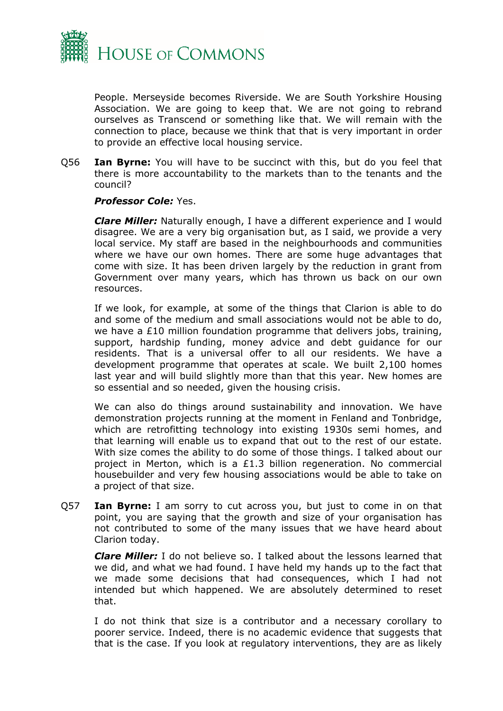

People. Merseyside becomes Riverside. We are South Yorkshire Housing Association. We are going to keep that. We are not going to rebrand ourselves as Transcend or something like that. We will remain with the connection to place, because we think that that is very important in order to provide an effective local housing service.

Q56 **Ian Byrne:** You will have to be succinct with this, but do you feel that there is more accountability to the markets than to the tenants and the council?

## *Professor Cole:* Yes.

*Clare Miller:* Naturally enough, I have a different experience and I would disagree. We are a very big organisation but, as I said, we provide a very local service. My staff are based in the neighbourhoods and communities where we have our own homes. There are some huge advantages that come with size. It has been driven largely by the reduction in grant from Government over many years, which has thrown us back on our own resources.

If we look, for example, at some of the things that Clarion is able to do and some of the medium and small associations would not be able to do, we have a £10 million foundation programme that delivers jobs, training, support, hardship funding, money advice and debt guidance for our residents. That is a universal offer to all our residents. We have a development programme that operates at scale. We built 2,100 homes last year and will build slightly more than that this year. New homes are so essential and so needed, given the housing crisis.

We can also do things around sustainability and innovation. We have demonstration projects running at the moment in Fenland and Tonbridge, which are retrofitting technology into existing 1930s semi homes, and that learning will enable us to expand that out to the rest of our estate. With size comes the ability to do some of those things. I talked about our project in Merton, which is a £1.3 billion regeneration. No commercial housebuilder and very few housing associations would be able to take on a project of that size.

Q57 **Ian Byrne:** I am sorry to cut across you, but just to come in on that point, you are saying that the growth and size of your organisation has not contributed to some of the many issues that we have heard about Clarion today.

*Clare Miller:* I do not believe so. I talked about the lessons learned that we did, and what we had found. I have held my hands up to the fact that we made some decisions that had consequences, which I had not intended but which happened. We are absolutely determined to reset that.

I do not think that size is a contributor and a necessary corollary to poorer service. Indeed, there is no academic evidence that suggests that that is the case. If you look at regulatory interventions, they are as likely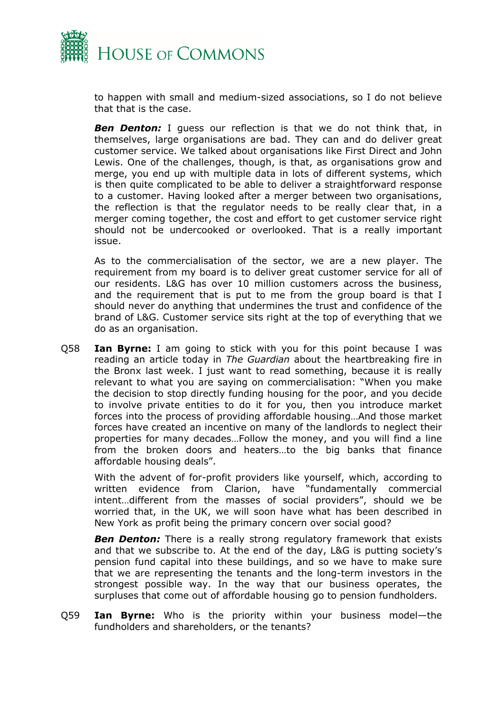

to happen with small and medium-sized associations, so I do not believe that that is the case.

**Ben Denton:** I guess our reflection is that we do not think that, in themselves, large organisations are bad. They can and do deliver great customer service. We talked about organisations like First Direct and John Lewis. One of the challenges, though, is that, as organisations grow and merge, you end up with multiple data in lots of different systems, which is then quite complicated to be able to deliver a straightforward response to a customer. Having looked after a merger between two organisations, the reflection is that the regulator needs to be really clear that, in a merger coming together, the cost and effort to get customer service right should not be undercooked or overlooked. That is a really important issue.

As to the commercialisation of the sector, we are a new player. The requirement from my board is to deliver great customer service for all of our residents. L&G has over 10 million customers across the business, and the requirement that is put to me from the group board is that I should never do anything that undermines the trust and confidence of the brand of L&G. Customer service sits right at the top of everything that we do as an organisation.

Q58 **Ian Byrne:** I am going to stick with you for this point because I was reading an article today in *The Guardian* about the heartbreaking fire in the Bronx last week. I just want to read something, because it is really relevant to what you are saying on commercialisation: "When you make the decision to stop directly funding housing for the poor, and you decide to involve private entities to do it for you, then you introduce market forces into the process of providing affordable housing…And those market forces have created an incentive on many of the landlords to neglect their properties for many decades…Follow the money, and you will find a line from the broken doors and heaters…to the big banks that finance affordable housing deals".

With the advent of for-profit providers like yourself, which, according to written evidence from Clarion, have "fundamentally commercial intent…different from the masses of social providers", should we be worried that, in the UK, we will soon have what has been described in New York as profit being the primary concern over social good?

**Ben Denton:** There is a really strong regulatory framework that exists and that we subscribe to. At the end of the day, L&G is putting society's pension fund capital into these buildings, and so we have to make sure that we are representing the tenants and the long-term investors in the strongest possible way. In the way that our business operates, the surpluses that come out of affordable housing go to pension fundholders.

Q59 **Ian Byrne:** Who is the priority within your business model—the fundholders and shareholders, or the tenants?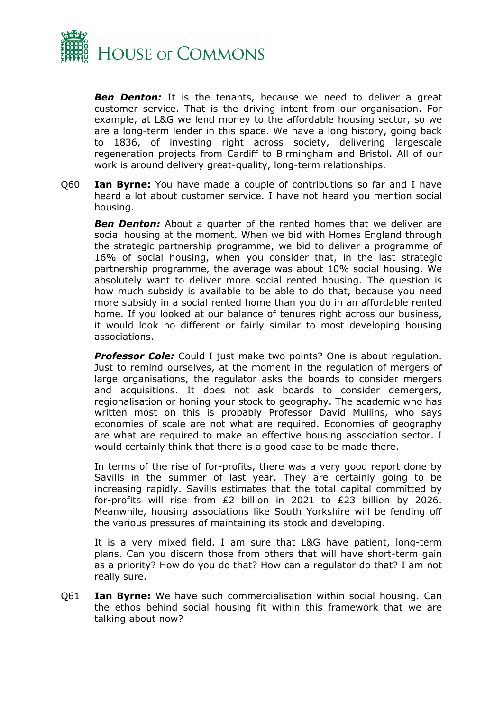

*Ben Denton:* It is the tenants, because we need to deliver a great customer service. That is the driving intent from our organisation. For example, at L&G we lend money to the affordable housing sector, so we are a long-term lender in this space. We have a long history, going back to 1836, of investing right across society, delivering largescale regeneration projects from Cardiff to Birmingham and Bristol. All of our work is around delivery great-quality, long-term relationships.

Q60 **Ian Byrne:** You have made a couple of contributions so far and I have heard a lot about customer service. I have not heard you mention social housing.

**Ben Denton:** About a quarter of the rented homes that we deliver are social housing at the moment. When we bid with Homes England through the strategic partnership programme, we bid to deliver a programme of 16% of social housing, when you consider that, in the last strategic partnership programme, the average was about 10% social housing. We absolutely want to deliver more social rented housing. The question is how much subsidy is available to be able to do that, because you need more subsidy in a social rented home than you do in an affordable rented home. If you looked at our balance of tenures right across our business, it would look no different or fairly similar to most developing housing associations.

**Professor Cole:** Could I just make two points? One is about regulation. Just to remind ourselves, at the moment in the regulation of mergers of large organisations, the regulator asks the boards to consider mergers and acquisitions. It does not ask boards to consider demergers, regionalisation or honing your stock to geography. The academic who has written most on this is probably Professor David Mullins, who says economies of scale are not what are required. Economies of geography are what are required to make an effective housing association sector. I would certainly think that there is a good case to be made there.

In terms of the rise of for-profits, there was a very good report done by Savills in the summer of last year. They are certainly going to be increasing rapidly. Savills estimates that the total capital committed by for-profits will rise from £2 billion in 2021 to £23 billion by 2026. Meanwhile, housing associations like South Yorkshire will be fending off the various pressures of maintaining its stock and developing.

It is a very mixed field. I am sure that L&G have patient, long-term plans. Can you discern those from others that will have short-term gain as a priority? How do you do that? How can a regulator do that? I am not really sure.

Q61 **Ian Byrne:** We have such commercialisation within social housing. Can the ethos behind social housing fit within this framework that we are talking about now?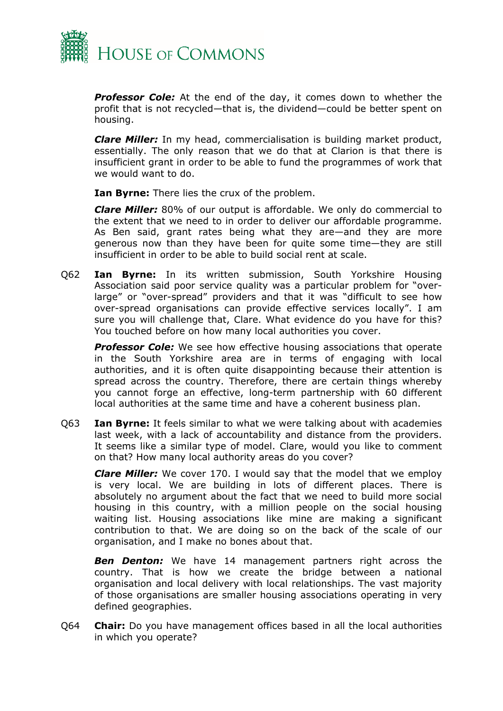

*Professor Cole:* At the end of the day, it comes down to whether the profit that is not recycled—that is, the dividend—could be better spent on housing.

*Clare Miller:* In my head, commercialisation is building market product, essentially. The only reason that we do that at Clarion is that there is insufficient grant in order to be able to fund the programmes of work that we would want to do.

**Ian Byrne:** There lies the crux of the problem.

*Clare Miller:* 80% of our output is affordable. We only do commercial to the extent that we need to in order to deliver our affordable programme. As Ben said, grant rates being what they are—and they are more generous now than they have been for quite some time—they are still insufficient in order to be able to build social rent at scale.

Q62 **Ian Byrne:** In its written submission, South Yorkshire Housing Association said poor service quality was a particular problem for "overlarge" or "over-spread" providers and that it was "difficult to see how over-spread organisations can provide effective services locally". I am sure you will challenge that, Clare. What evidence do you have for this? You touched before on how many local authorities you cover.

**Professor Cole:** We see how effective housing associations that operate in the South Yorkshire area are in terms of engaging with local authorities, and it is often quite disappointing because their attention is spread across the country. Therefore, there are certain things whereby you cannot forge an effective, long-term partnership with 60 different local authorities at the same time and have a coherent business plan.

Q63 **Ian Byrne:** It feels similar to what we were talking about with academies last week, with a lack of accountability and distance from the providers. It seems like a similar type of model. Clare, would you like to comment on that? How many local authority areas do you cover?

*Clare Miller:* We cover 170. I would say that the model that we employ is very local. We are building in lots of different places. There is absolutely no argument about the fact that we need to build more social housing in this country, with a million people on the social housing waiting list. Housing associations like mine are making a significant contribution to that. We are doing so on the back of the scale of our organisation, and I make no bones about that.

**Ben Denton:** We have 14 management partners right across the country. That is how we create the bridge between a national organisation and local delivery with local relationships. The vast majority of those organisations are smaller housing associations operating in very defined geographies.

Q64 **Chair:** Do you have management offices based in all the local authorities in which you operate?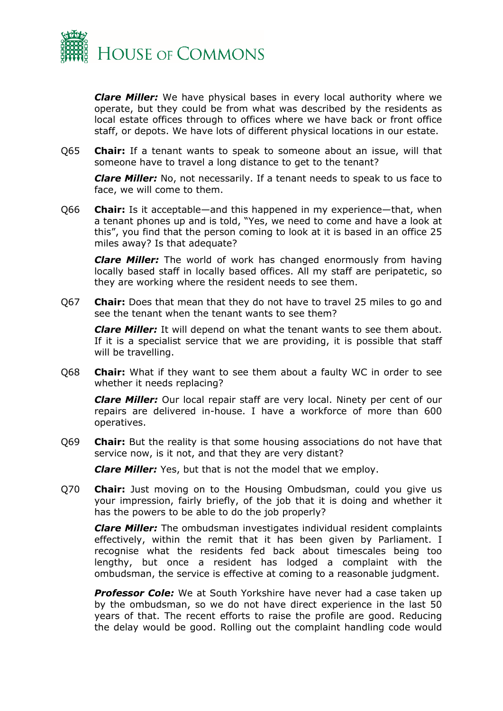

*Clare Miller:* We have physical bases in every local authority where we operate, but they could be from what was described by the residents as local estate offices through to offices where we have back or front office staff, or depots. We have lots of different physical locations in our estate.

Q65 **Chair:** If a tenant wants to speak to someone about an issue, will that someone have to travel a long distance to get to the tenant?

*Clare Miller:* No, not necessarily. If a tenant needs to speak to us face to face, we will come to them.

Q66 **Chair:** Is it acceptable—and this happened in my experience—that, when a tenant phones up and is told, "Yes, we need to come and have a look at this", you find that the person coming to look at it is based in an office 25 miles away? Is that adequate?

*Clare Miller:* The world of work has changed enormously from having locally based staff in locally based offices. All my staff are peripatetic, so they are working where the resident needs to see them.

Q67 **Chair:** Does that mean that they do not have to travel 25 miles to go and see the tenant when the tenant wants to see them?

*Clare Miller:* It will depend on what the tenant wants to see them about. If it is a specialist service that we are providing, it is possible that staff will be travelling.

Q68 **Chair:** What if they want to see them about a faulty WC in order to see whether it needs replacing?

*Clare Miller:* Our local repair staff are very local. Ninety per cent of our repairs are delivered in-house. I have a workforce of more than 600 operatives.

Q69 **Chair:** But the reality is that some housing associations do not have that service now, is it not, and that they are very distant?

*Clare Miller:* Yes, but that is not the model that we employ.

Q70 **Chair:** Just moving on to the Housing Ombudsman, could you give us your impression, fairly briefly, of the job that it is doing and whether it has the powers to be able to do the job properly?

*Clare Miller:* The ombudsman investigates individual resident complaints effectively, within the remit that it has been given by Parliament. I recognise what the residents fed back about timescales being too lengthy, but once a resident has lodged a complaint with the ombudsman, the service is effective at coming to a reasonable judgment.

*Professor Cole:* We at South Yorkshire have never had a case taken up by the ombudsman, so we do not have direct experience in the last 50 years of that. The recent efforts to raise the profile are good. Reducing the delay would be good. Rolling out the complaint handling code would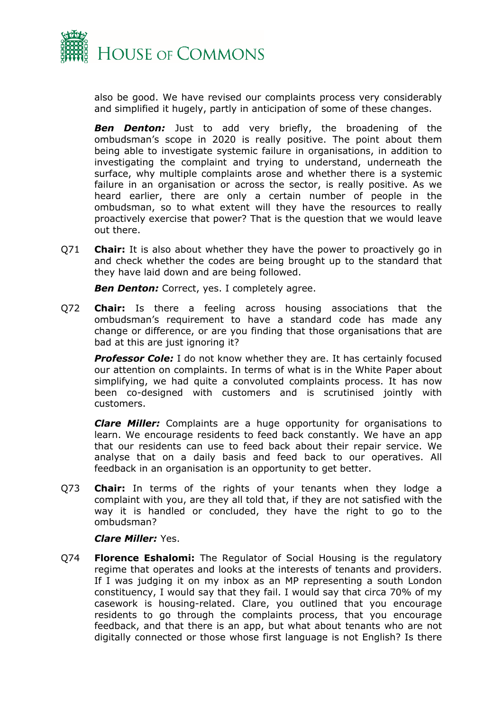

also be good. We have revised our complaints process very considerably and simplified it hugely, partly in anticipation of some of these changes.

*Ben Denton:* Just to add very briefly, the broadening of the ombudsman's scope in 2020 is really positive. The point about them being able to investigate systemic failure in organisations, in addition to investigating the complaint and trying to understand, underneath the surface, why multiple complaints arose and whether there is a systemic failure in an organisation or across the sector, is really positive. As we heard earlier, there are only a certain number of people in the ombudsman, so to what extent will they have the resources to really proactively exercise that power? That is the question that we would leave out there.

Q71 **Chair:** It is also about whether they have the power to proactively go in and check whether the codes are being brought up to the standard that they have laid down and are being followed.

**Ben Denton:** Correct, yes. I completely agree.

Q72 **Chair:** Is there a feeling across housing associations that the ombudsman's requirement to have a standard code has made any change or difference, or are you finding that those organisations that are bad at this are just ignoring it?

**Professor Cole:** I do not know whether they are. It has certainly focused our attention on complaints. In terms of what is in the White Paper about simplifying, we had quite a convoluted complaints process. It has now been co-designed with customers and is scrutinised jointly with customers.

*Clare Miller:* Complaints are a huge opportunity for organisations to learn. We encourage residents to feed back constantly. We have an app that our residents can use to feed back about their repair service. We analyse that on a daily basis and feed back to our operatives. All feedback in an organisation is an opportunity to get better.

Q73 **Chair:** In terms of the rights of your tenants when they lodge a complaint with you, are they all told that, if they are not satisfied with the way it is handled or concluded, they have the right to go to the ombudsman?

## *Clare Miller:* Yes.

Q74 **Florence Eshalomi:** The Regulator of Social Housing is the regulatory regime that operates and looks at the interests of tenants and providers. If I was judging it on my inbox as an MP representing a south London constituency, I would say that they fail. I would say that circa 70% of my casework is housing-related. Clare, you outlined that you encourage residents to go through the complaints process, that you encourage feedback, and that there is an app, but what about tenants who are not digitally connected or those whose first language is not English? Is there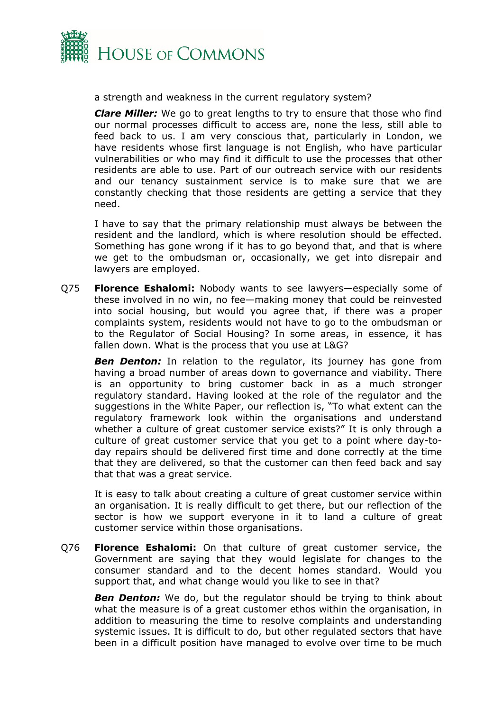

a strength and weakness in the current regulatory system?

*Clare Miller:* We go to great lengths to try to ensure that those who find our normal processes difficult to access are, none the less, still able to feed back to us. I am very conscious that, particularly in London, we have residents whose first language is not English, who have particular vulnerabilities or who may find it difficult to use the processes that other residents are able to use. Part of our outreach service with our residents and our tenancy sustainment service is to make sure that we are constantly checking that those residents are getting a service that they need.

I have to say that the primary relationship must always be between the resident and the landlord, which is where resolution should be effected. Something has gone wrong if it has to go beyond that, and that is where we get to the ombudsman or, occasionally, we get into disrepair and lawyers are employed.

Q75 **Florence Eshalomi:** Nobody wants to see lawyers—especially some of these involved in no win, no fee—making money that could be reinvested into social housing, but would you agree that, if there was a proper complaints system, residents would not have to go to the ombudsman or to the Regulator of Social Housing? In some areas, in essence, it has fallen down. What is the process that you use at L&G?

**Ben Denton:** In relation to the regulator, its journey has gone from having a broad number of areas down to governance and viability. There is an opportunity to bring customer back in as a much stronger regulatory standard. Having looked at the role of the regulator and the suggestions in the White Paper, our reflection is, "To what extent can the regulatory framework look within the organisations and understand whether a culture of great customer service exists?" It is only through a culture of great customer service that you get to a point where day-today repairs should be delivered first time and done correctly at the time that they are delivered, so that the customer can then feed back and say that that was a great service.

It is easy to talk about creating a culture of great customer service within an organisation. It is really difficult to get there, but our reflection of the sector is how we support everyone in it to land a culture of great customer service within those organisations.

Q76 **Florence Eshalomi:** On that culture of great customer service, the Government are saying that they would legislate for changes to the consumer standard and to the decent homes standard. Would you support that, and what change would you like to see in that?

**Ben Denton:** We do, but the regulator should be trying to think about what the measure is of a great customer ethos within the organisation, in addition to measuring the time to resolve complaints and understanding systemic issues. It is difficult to do, but other regulated sectors that have been in a difficult position have managed to evolve over time to be much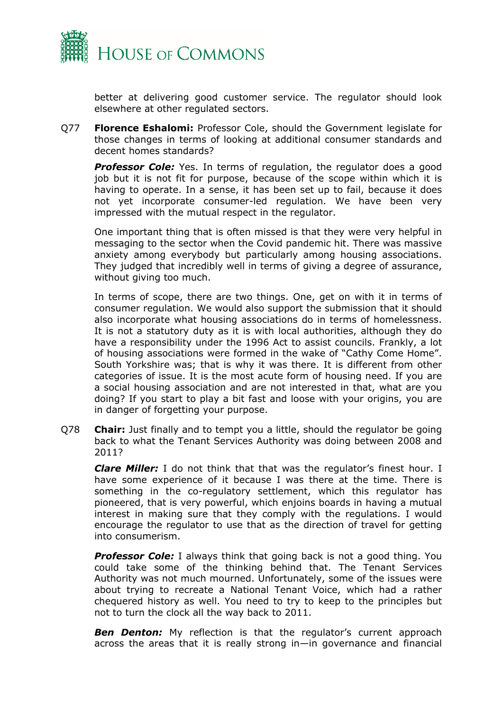

better at delivering good customer service. The regulator should look elsewhere at other regulated sectors.

Q77 **Florence Eshalomi:** Professor Cole, should the Government legislate for those changes in terms of looking at additional consumer standards and decent homes standards?

**Professor Cole:** Yes. In terms of regulation, the regulator does a good job but it is not fit for purpose, because of the scope within which it is having to operate. In a sense, it has been set up to fail, because it does not yet incorporate consumer-led regulation. We have been very impressed with the mutual respect in the regulator.

One important thing that is often missed is that they were very helpful in messaging to the sector when the Covid pandemic hit. There was massive anxiety among everybody but particularly among housing associations. They judged that incredibly well in terms of giving a degree of assurance, without giving too much.

In terms of scope, there are two things. One, get on with it in terms of consumer regulation. We would also support the submission that it should also incorporate what housing associations do in terms of homelessness. It is not a statutory duty as it is with local authorities, although they do have a responsibility under the 1996 Act to assist councils. Frankly, a lot of housing associations were formed in the wake of "Cathy Come Home". South Yorkshire was; that is why it was there. It is different from other categories of issue. It is the most acute form of housing need. If you are a social housing association and are not interested in that, what are you doing? If you start to play a bit fast and loose with your origins, you are in danger of forgetting your purpose.

Q78 **Chair:** Just finally and to tempt you a little, should the regulator be going back to what the Tenant Services Authority was doing between 2008 and 2011?

*Clare Miller:* I do not think that that was the regulator's finest hour. I have some experience of it because I was there at the time. There is something in the co-regulatory settlement, which this regulator has pioneered, that is very powerful, which enjoins boards in having a mutual interest in making sure that they comply with the regulations. I would encourage the regulator to use that as the direction of travel for getting into consumerism.

**Professor Cole:** I always think that going back is not a good thing. You could take some of the thinking behind that. The Tenant Services Authority was not much mourned. Unfortunately, some of the issues were about trying to recreate a National Tenant Voice, which had a rather chequered history as well. You need to try to keep to the principles but not to turn the clock all the way back to 2011.

**Ben Denton:** My reflection is that the regulator's current approach across the areas that it is really strong in—in governance and financial